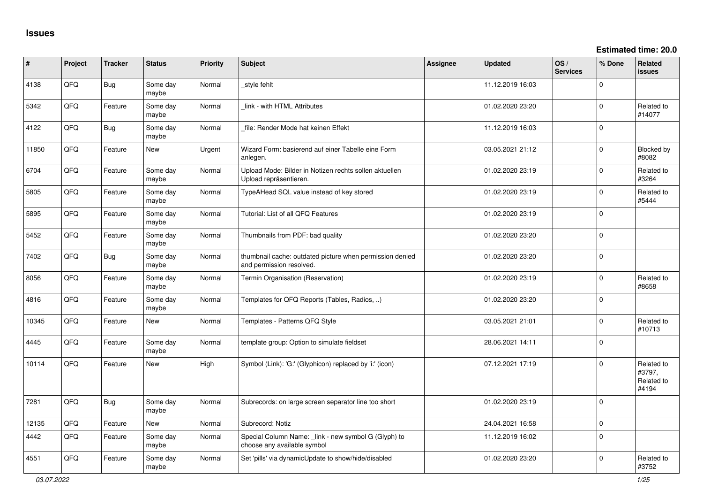**Estimated time: 20.0**

| #     | Project | <b>Tracker</b> | <b>Status</b>     | <b>Priority</b> | <b>Subject</b>                                                                       | <b>Assignee</b> | <b>Updated</b>   | OS/<br><b>Services</b> | % Done      | Related<br><b>issues</b>                    |
|-------|---------|----------------|-------------------|-----------------|--------------------------------------------------------------------------------------|-----------------|------------------|------------------------|-------------|---------------------------------------------|
| 4138  | QFQ     | <b>Bug</b>     | Some day<br>maybe | Normal          | _style fehlt                                                                         |                 | 11.12.2019 16:03 |                        | $\Omega$    |                                             |
| 5342  | QFQ     | Feature        | Some day<br>maybe | Normal          | link - with HTML Attributes                                                          |                 | 01.02.2020 23:20 |                        | $\mathbf 0$ | Related to<br>#14077                        |
| 4122  | QFQ     | Bug            | Some day<br>maybe | Normal          | file: Render Mode hat keinen Effekt                                                  |                 | 11.12.2019 16:03 |                        | $\Omega$    |                                             |
| 11850 | QFQ     | Feature        | New               | Urgent          | Wizard Form: basierend auf einer Tabelle eine Form<br>anlegen.                       |                 | 03.05.2021 21:12 |                        | $\mathbf 0$ | <b>Blocked by</b><br>#8082                  |
| 6704  | QFQ     | Feature        | Some day<br>maybe | Normal          | Upload Mode: Bilder in Notizen rechts sollen aktuellen<br>Upload repräsentieren.     |                 | 01.02.2020 23:19 |                        | $\mathbf 0$ | Related to<br>#3264                         |
| 5805  | QFQ     | Feature        | Some day<br>maybe | Normal          | TypeAHead SQL value instead of key stored                                            |                 | 01.02.2020 23:19 |                        | $\mathbf 0$ | Related to<br>#5444                         |
| 5895  | QFQ     | Feature        | Some day<br>maybe | Normal          | Tutorial: List of all QFQ Features                                                   |                 | 01.02.2020 23:19 |                        | $\mathbf 0$ |                                             |
| 5452  | QFQ     | Feature        | Some day<br>maybe | Normal          | Thumbnails from PDF: bad quality                                                     |                 | 01.02.2020 23:20 |                        | $\Omega$    |                                             |
| 7402  | QFQ     | <b>Bug</b>     | Some day<br>maybe | Normal          | thumbnail cache: outdated picture when permission denied<br>and permission resolved. |                 | 01.02.2020 23:20 |                        | $\mathbf 0$ |                                             |
| 8056  | QFQ     | Feature        | Some day<br>maybe | Normal          | Termin Organisation (Reservation)                                                    |                 | 01.02.2020 23:19 |                        | $\mathbf 0$ | Related to<br>#8658                         |
| 4816  | QFQ     | Feature        | Some day<br>maybe | Normal          | Templates for QFQ Reports (Tables, Radios, )                                         |                 | 01.02.2020 23:20 |                        | $\mathbf 0$ |                                             |
| 10345 | QFQ     | Feature        | <b>New</b>        | Normal          | Templates - Patterns QFQ Style                                                       |                 | 03.05.2021 21:01 |                        | $\mathbf 0$ | Related to<br>#10713                        |
| 4445  | QFQ     | Feature        | Some day<br>maybe | Normal          | template group: Option to simulate fieldset                                          |                 | 28.06.2021 14:11 |                        | $\Omega$    |                                             |
| 10114 | QFQ     | Feature        | <b>New</b>        | High            | Symbol (Link): 'G:' (Glyphicon) replaced by 'i:' (icon)                              |                 | 07.12.2021 17:19 |                        | $\Omega$    | Related to<br>#3797,<br>Related to<br>#4194 |
| 7281  | QFQ     | <b>Bug</b>     | Some day<br>maybe | Normal          | Subrecords: on large screen separator line too short                                 |                 | 01.02.2020 23:19 |                        | $\Omega$    |                                             |
| 12135 | QFQ     | Feature        | New               | Normal          | Subrecord: Notiz                                                                     |                 | 24.04.2021 16:58 |                        | $\mathbf 0$ |                                             |
| 4442  | QFQ     | Feature        | Some day<br>maybe | Normal          | Special Column Name: _link - new symbol G (Glyph) to<br>choose any available symbol  |                 | 11.12.2019 16:02 |                        | $\mathbf 0$ |                                             |
| 4551  | QFQ     | Feature        | Some day<br>maybe | Normal          | Set 'pills' via dynamicUpdate to show/hide/disabled                                  |                 | 01.02.2020 23:20 |                        | $\Omega$    | Related to<br>#3752                         |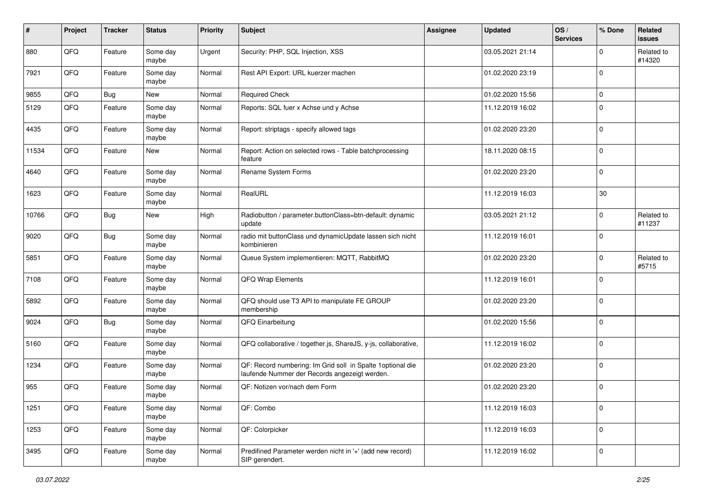| #     | Project | <b>Tracker</b> | <b>Status</b>     | <b>Priority</b> | <b>Subject</b>                                                                                               | <b>Assignee</b> | <b>Updated</b>   | OS/<br><b>Services</b> | % Done      | Related<br>issues    |
|-------|---------|----------------|-------------------|-----------------|--------------------------------------------------------------------------------------------------------------|-----------------|------------------|------------------------|-------------|----------------------|
| 880   | QFQ     | Feature        | Some day<br>maybe | Urgent          | Security: PHP, SQL Injection, XSS                                                                            |                 | 03.05.2021 21:14 |                        | $\Omega$    | Related to<br>#14320 |
| 7921  | QFQ     | Feature        | Some day<br>maybe | Normal          | Rest API Export: URL kuerzer machen                                                                          |                 | 01.02.2020 23:19 |                        | $\mathbf 0$ |                      |
| 9855  | QFQ     | <b>Bug</b>     | New               | Normal          | <b>Required Check</b>                                                                                        |                 | 01.02.2020 15:56 |                        | 0           |                      |
| 5129  | QFQ     | Feature        | Some day<br>maybe | Normal          | Reports: SQL fuer x Achse und y Achse                                                                        |                 | 11.12.2019 16:02 |                        | $\Omega$    |                      |
| 4435  | QFQ     | Feature        | Some day<br>maybe | Normal          | Report: striptags - specify allowed tags                                                                     |                 | 01.02.2020 23:20 |                        | $\mathbf 0$ |                      |
| 11534 | QFQ     | Feature        | New               | Normal          | Report: Action on selected rows - Table batchprocessing<br>feature                                           |                 | 18.11.2020 08:15 |                        | $\mathbf 0$ |                      |
| 4640  | QFQ     | Feature        | Some day<br>maybe | Normal          | Rename System Forms                                                                                          |                 | 01.02.2020 23:20 |                        | $\mathbf 0$ |                      |
| 1623  | QFQ     | Feature        | Some day<br>maybe | Normal          | RealURL                                                                                                      |                 | 11.12.2019 16:03 |                        | $30\,$      |                      |
| 10766 | QFQ     | <b>Bug</b>     | New               | High            | Radiobutton / parameter.buttonClass=btn-default: dynamic<br>update                                           |                 | 03.05.2021 21:12 |                        | 0           | Related to<br>#11237 |
| 9020  | QFQ     | <b>Bug</b>     | Some day<br>maybe | Normal          | radio mit buttonClass und dynamicUpdate lassen sich nicht<br>kombinieren                                     |                 | 11.12.2019 16:01 |                        | $\mathbf 0$ |                      |
| 5851  | QFQ     | Feature        | Some day<br>maybe | Normal          | Queue System implementieren: MQTT, RabbitMQ                                                                  |                 | 01.02.2020 23:20 |                        | $\mathbf 0$ | Related to<br>#5715  |
| 7108  | QFQ     | Feature        | Some day<br>maybe | Normal          | QFQ Wrap Elements                                                                                            |                 | 11.12.2019 16:01 |                        | $\Omega$    |                      |
| 5892  | QFQ     | Feature        | Some day<br>maybe | Normal          | QFQ should use T3 API to manipulate FE GROUP<br>membership                                                   |                 | 01.02.2020 23:20 |                        | $\mathbf 0$ |                      |
| 9024  | QFQ     | <b>Bug</b>     | Some day<br>maybe | Normal          | QFQ Einarbeitung                                                                                             |                 | 01.02.2020 15:56 |                        | $\mathbf 0$ |                      |
| 5160  | QFQ     | Feature        | Some day<br>maybe | Normal          | QFQ collaborative / together.js, ShareJS, y-js, collaborative,                                               |                 | 11.12.2019 16:02 |                        | $\mathbf 0$ |                      |
| 1234  | QFQ     | Feature        | Some day<br>maybe | Normal          | QF: Record numbering: Im Grid soll in Spalte 1 optional die<br>laufende Nummer der Records angezeigt werden. |                 | 01.02.2020 23:20 |                        | $\mathbf 0$ |                      |
| 955   | QFQ     | Feature        | Some day<br>maybe | Normal          | QF: Notizen vor/nach dem Form                                                                                |                 | 01.02.2020 23:20 |                        | $\mathbf 0$ |                      |
| 1251  | QFQ     | Feature        | Some day<br>maybe | Normal          | QF: Combo                                                                                                    |                 | 11.12.2019 16:03 |                        | $\mathbf 0$ |                      |
| 1253  | QFQ     | Feature        | Some day<br>maybe | Normal          | QF: Colorpicker                                                                                              |                 | 11.12.2019 16:03 |                        | 0           |                      |
| 3495  | QFQ     | Feature        | Some day<br>maybe | Normal          | Predifined Parameter werden nicht in '+' (add new record)<br>SIP gerendert.                                  |                 | 11.12.2019 16:02 |                        | $\mathbf 0$ |                      |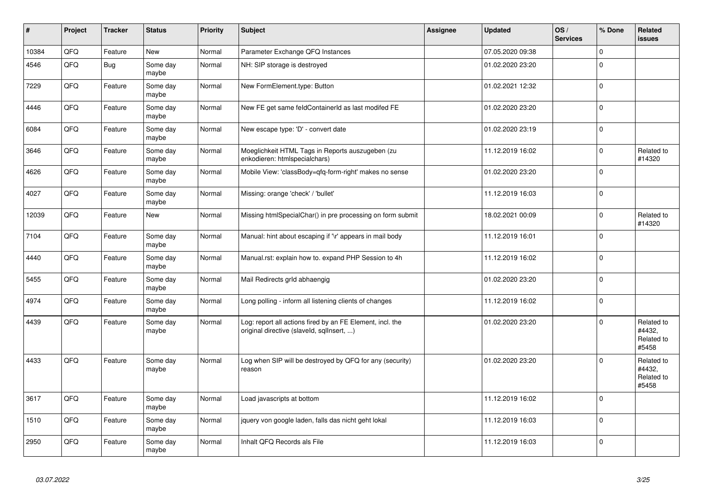| $\sharp$ | Project | <b>Tracker</b> | <b>Status</b>     | <b>Priority</b> | <b>Subject</b>                                                                                         | <b>Assignee</b> | <b>Updated</b>   | OS/<br><b>Services</b> | % Done      | Related<br><b>issues</b>                    |
|----------|---------|----------------|-------------------|-----------------|--------------------------------------------------------------------------------------------------------|-----------------|------------------|------------------------|-------------|---------------------------------------------|
| 10384    | QFQ     | Feature        | New               | Normal          | Parameter Exchange QFQ Instances                                                                       |                 | 07.05.2020 09:38 |                        | $\Omega$    |                                             |
| 4546     | QFQ     | Bug            | Some day<br>maybe | Normal          | NH: SIP storage is destroyed                                                                           |                 | 01.02.2020 23:20 |                        | $\Omega$    |                                             |
| 7229     | QFQ     | Feature        | Some day<br>maybe | Normal          | New FormElement.type: Button                                                                           |                 | 01.02.2021 12:32 |                        | $\Omega$    |                                             |
| 4446     | QFQ     | Feature        | Some day<br>maybe | Normal          | New FE get same feldContainerId as last modifed FE                                                     |                 | 01.02.2020 23:20 |                        | $\mathbf 0$ |                                             |
| 6084     | QFQ     | Feature        | Some day<br>maybe | Normal          | New escape type: 'D' - convert date                                                                    |                 | 01.02.2020 23:19 |                        | $\mathbf 0$ |                                             |
| 3646     | QFQ     | Feature        | Some day<br>maybe | Normal          | Moeglichkeit HTML Tags in Reports auszugeben (zu<br>enkodieren: htmlspecialchars)                      |                 | 11.12.2019 16:02 |                        | $\Omega$    | Related to<br>#14320                        |
| 4626     | QFQ     | Feature        | Some day<br>maybe | Normal          | Mobile View: 'classBody=qfq-form-right' makes no sense                                                 |                 | 01.02.2020 23:20 |                        | $\Omega$    |                                             |
| 4027     | QFQ     | Feature        | Some day<br>maybe | Normal          | Missing: orange 'check' / 'bullet'                                                                     |                 | 11.12.2019 16:03 |                        | $\Omega$    |                                             |
| 12039    | QFQ     | Feature        | <b>New</b>        | Normal          | Missing htmlSpecialChar() in pre processing on form submit                                             |                 | 18.02.2021 00:09 |                        | $\Omega$    | Related to<br>#14320                        |
| 7104     | QFQ     | Feature        | Some day<br>maybe | Normal          | Manual: hint about escaping if '\r' appears in mail body                                               |                 | 11.12.2019 16:01 |                        | $\Omega$    |                                             |
| 4440     | QFQ     | Feature        | Some day<br>maybe | Normal          | Manual.rst: explain how to. expand PHP Session to 4h                                                   |                 | 11.12.2019 16:02 |                        | $\Omega$    |                                             |
| 5455     | QFQ     | Feature        | Some day<br>maybe | Normal          | Mail Redirects grld abhaengig                                                                          |                 | 01.02.2020 23:20 |                        | $\Omega$    |                                             |
| 4974     | QFQ     | Feature        | Some day<br>maybe | Normal          | Long polling - inform all listening clients of changes                                                 |                 | 11.12.2019 16:02 |                        | $\Omega$    |                                             |
| 4439     | QFQ     | Feature        | Some day<br>maybe | Normal          | Log: report all actions fired by an FE Element, incl. the<br>original directive (slaveld, sqllnsert, ) |                 | 01.02.2020 23:20 |                        | $\Omega$    | Related to<br>#4432,<br>Related to<br>#5458 |
| 4433     | QFQ     | Feature        | Some day<br>maybe | Normal          | Log when SIP will be destroyed by QFQ for any (security)<br>reason                                     |                 | 01.02.2020 23:20 |                        | $\Omega$    | Related to<br>#4432,<br>Related to<br>#5458 |
| 3617     | QFQ     | Feature        | Some day<br>maybe | Normal          | Load javascripts at bottom                                                                             |                 | 11.12.2019 16:02 |                        | $\Omega$    |                                             |
| 1510     | QFQ     | Feature        | Some day<br>maybe | Normal          | jquery von google laden, falls das nicht geht lokal                                                    |                 | 11.12.2019 16:03 |                        | $\Omega$    |                                             |
| 2950     | QFQ     | Feature        | Some day<br>maybe | Normal          | Inhalt QFQ Records als File                                                                            |                 | 11.12.2019 16:03 |                        | $\Omega$    |                                             |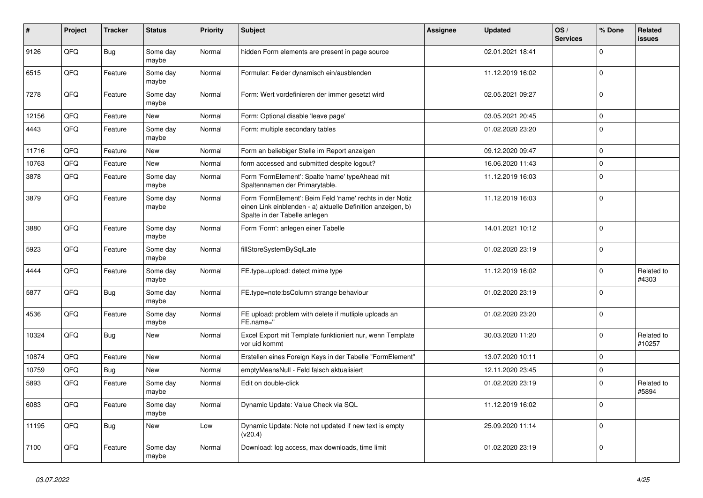| #     | Project | <b>Tracker</b> | <b>Status</b>     | <b>Priority</b> | <b>Subject</b>                                                                                                                                           | <b>Assignee</b> | <b>Updated</b>   | OS/<br><b>Services</b> | % Done      | Related<br>issues    |
|-------|---------|----------------|-------------------|-----------------|----------------------------------------------------------------------------------------------------------------------------------------------------------|-----------------|------------------|------------------------|-------------|----------------------|
| 9126  | QFQ     | <b>Bug</b>     | Some day<br>maybe | Normal          | hidden Form elements are present in page source                                                                                                          |                 | 02.01.2021 18:41 |                        | $\mathbf 0$ |                      |
| 6515  | QFQ     | Feature        | Some day<br>maybe | Normal          | Formular: Felder dynamisch ein/ausblenden                                                                                                                |                 | 11.12.2019 16:02 |                        | $\mathbf 0$ |                      |
| 7278  | QFQ     | Feature        | Some day<br>maybe | Normal          | Form: Wert vordefinieren der immer gesetzt wird                                                                                                          |                 | 02.05.2021 09:27 |                        | $\Omega$    |                      |
| 12156 | QFQ     | Feature        | <b>New</b>        | Normal          | Form: Optional disable 'leave page'                                                                                                                      |                 | 03.05.2021 20:45 |                        | $\mathbf 0$ |                      |
| 4443  | QFQ     | Feature        | Some day<br>maybe | Normal          | Form: multiple secondary tables                                                                                                                          |                 | 01.02.2020 23:20 |                        | $\Omega$    |                      |
| 11716 | QFQ     | Feature        | New               | Normal          | Form an beliebiger Stelle im Report anzeigen                                                                                                             |                 | 09.12.2020 09:47 |                        | $\mathbf 0$ |                      |
| 10763 | QFQ     | Feature        | New               | Normal          | form accessed and submitted despite logout?                                                                                                              |                 | 16.06.2020 11:43 |                        | $\mathbf 0$ |                      |
| 3878  | QFQ     | Feature        | Some day<br>maybe | Normal          | Form 'FormElement': Spalte 'name' typeAhead mit<br>Spaltennamen der Primarytable.                                                                        |                 | 11.12.2019 16:03 |                        | $\Omega$    |                      |
| 3879  | QFQ     | Feature        | Some day<br>maybe | Normal          | Form 'FormElement': Beim Feld 'name' rechts in der Notiz<br>einen Link einblenden - a) aktuelle Definition anzeigen, b)<br>Spalte in der Tabelle anlegen |                 | 11.12.2019 16:03 |                        | $\mathbf 0$ |                      |
| 3880  | QFQ     | Feature        | Some day<br>maybe | Normal          | Form 'Form': anlegen einer Tabelle                                                                                                                       |                 | 14.01.2021 10:12 |                        | $\Omega$    |                      |
| 5923  | QFQ     | Feature        | Some day<br>maybe | Normal          | fillStoreSystemBySqlLate                                                                                                                                 |                 | 01.02.2020 23:19 |                        | $\Omega$    |                      |
| 4444  | QFQ     | Feature        | Some day<br>maybe | Normal          | FE.type=upload: detect mime type                                                                                                                         |                 | 11.12.2019 16:02 |                        | $\mathbf 0$ | Related to<br>#4303  |
| 5877  | QFQ     | Bug            | Some day<br>maybe | Normal          | FE.type=note:bsColumn strange behaviour                                                                                                                  |                 | 01.02.2020 23:19 |                        | $\mathbf 0$ |                      |
| 4536  | QFQ     | Feature        | Some day<br>maybe | Normal          | FE upload: problem with delete if mutliple uploads an<br>FE.name="                                                                                       |                 | 01.02.2020 23:20 |                        | $\Omega$    |                      |
| 10324 | QFQ     | <b>Bug</b>     | <b>New</b>        | Normal          | Excel Export mit Template funktioniert nur, wenn Template<br>vor uid kommt                                                                               |                 | 30.03.2020 11:20 |                        | $\Omega$    | Related to<br>#10257 |
| 10874 | QFQ     | Feature        | New               | Normal          | Erstellen eines Foreign Keys in der Tabelle "FormElement"                                                                                                |                 | 13.07.2020 10:11 |                        | $\mathbf 0$ |                      |
| 10759 | QFQ     | Bug            | New               | Normal          | emptyMeansNull - Feld falsch aktualisiert                                                                                                                |                 | 12.11.2020 23:45 |                        | $\mathbf 0$ |                      |
| 5893  | QFQ     | Feature        | Some day<br>maybe | Normal          | Edit on double-click                                                                                                                                     |                 | 01.02.2020 23:19 |                        | $\mathbf 0$ | Related to<br>#5894  |
| 6083  | QFQ     | Feature        | Some day<br>maybe | Normal          | Dynamic Update: Value Check via SQL                                                                                                                      |                 | 11.12.2019 16:02 |                        | $\Omega$    |                      |
| 11195 | QFQ     | <b>Bug</b>     | <b>New</b>        | Low             | Dynamic Update: Note not updated if new text is empty<br>(v20.4)                                                                                         |                 | 25.09.2020 11:14 |                        | $\Omega$    |                      |
| 7100  | QFQ     | Feature        | Some day<br>maybe | Normal          | Download: log access, max downloads, time limit                                                                                                          |                 | 01.02.2020 23:19 |                        | $\Omega$    |                      |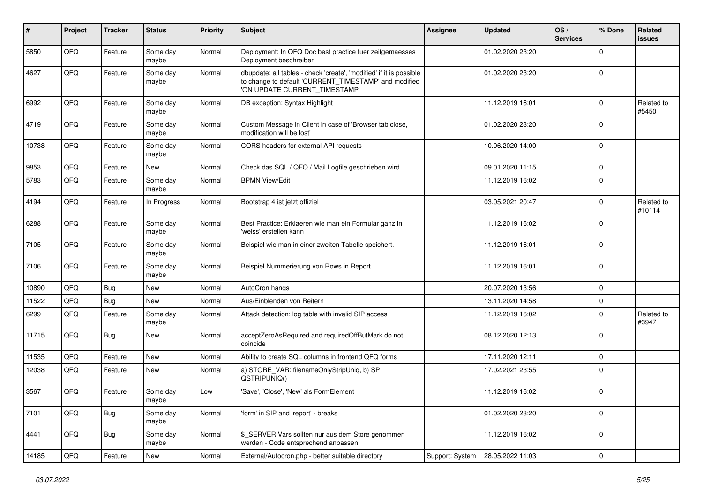| #     | Project | <b>Tracker</b> | <b>Status</b>     | <b>Priority</b> | <b>Subject</b>                                                                                                                                                | <b>Assignee</b> | <b>Updated</b>   | OS/<br><b>Services</b> | % Done      | Related<br>issues    |
|-------|---------|----------------|-------------------|-----------------|---------------------------------------------------------------------------------------------------------------------------------------------------------------|-----------------|------------------|------------------------|-------------|----------------------|
| 5850  | QFQ     | Feature        | Some day<br>maybe | Normal          | Deployment: In QFQ Doc best practice fuer zeitgemaesses<br>Deployment beschreiben                                                                             |                 | 01.02.2020 23:20 |                        | 0           |                      |
| 4627  | QFQ     | Feature        | Some day<br>maybe | Normal          | dbupdate: all tables - check 'create', 'modified' if it is possible<br>to change to default 'CURRENT TIMESTAMP' and modified<br>'ON UPDATE CURRENT_TIMESTAMP' |                 | 01.02.2020 23:20 |                        | $\mathbf 0$ |                      |
| 6992  | QFQ     | Feature        | Some day<br>maybe | Normal          | DB exception: Syntax Highlight                                                                                                                                |                 | 11.12.2019 16:01 |                        | $\Omega$    | Related to<br>#5450  |
| 4719  | QFQ     | Feature        | Some day<br>maybe | Normal          | Custom Message in Client in case of 'Browser tab close,<br>modification will be lost'                                                                         |                 | 01.02.2020 23:20 |                        | 0           |                      |
| 10738 | QFQ     | Feature        | Some day<br>maybe | Normal          | CORS headers for external API requests                                                                                                                        |                 | 10.06.2020 14:00 |                        | $\mathbf 0$ |                      |
| 9853  | QFQ     | Feature        | New               | Normal          | Check das SQL / QFQ / Mail Logfile geschrieben wird                                                                                                           |                 | 09.01.2020 11:15 |                        | $\mathbf 0$ |                      |
| 5783  | QFQ     | Feature        | Some day<br>maybe | Normal          | <b>BPMN View/Edit</b>                                                                                                                                         |                 | 11.12.2019 16:02 |                        | $\Omega$    |                      |
| 4194  | QFQ     | Feature        | In Progress       | Normal          | Bootstrap 4 ist jetzt offiziel                                                                                                                                |                 | 03.05.2021 20:47 |                        | 0           | Related to<br>#10114 |
| 6288  | QFQ     | Feature        | Some day<br>maybe | Normal          | Best Practice: Erklaeren wie man ein Formular ganz in<br>'weiss' erstellen kann                                                                               |                 | 11.12.2019 16:02 |                        | 0           |                      |
| 7105  | QFQ     | Feature        | Some day<br>maybe | Normal          | Beispiel wie man in einer zweiten Tabelle speichert.                                                                                                          |                 | 11.12.2019 16:01 |                        | $\Omega$    |                      |
| 7106  | QFQ     | Feature        | Some day<br>maybe | Normal          | Beispiel Nummerierung von Rows in Report                                                                                                                      |                 | 11.12.2019 16:01 |                        | $\Omega$    |                      |
| 10890 | QFQ     | Bug            | New               | Normal          | AutoCron hangs                                                                                                                                                |                 | 20.07.2020 13:56 |                        | $\mathbf 0$ |                      |
| 11522 | QFQ     | Bug            | <b>New</b>        | Normal          | Aus/Einblenden von Reitern                                                                                                                                    |                 | 13.11.2020 14:58 |                        | $\Omega$    |                      |
| 6299  | QFQ     | Feature        | Some day<br>maybe | Normal          | Attack detection: log table with invalid SIP access                                                                                                           |                 | 11.12.2019 16:02 |                        | $\Omega$    | Related to<br>#3947  |
| 11715 | QFQ     | Bug            | New               | Normal          | acceptZeroAsRequired and requiredOffButMark do not<br>coincide                                                                                                |                 | 08.12.2020 12:13 |                        | 0           |                      |
| 11535 | QFQ     | Feature        | New               | Normal          | Ability to create SQL columns in frontend QFQ forms                                                                                                           |                 | 17.11.2020 12:11 |                        | $\mathbf 0$ |                      |
| 12038 | QFQ     | Feature        | New               | Normal          | a) STORE_VAR: filenameOnlyStripUniq, b) SP:<br>QSTRIPUNIQ()                                                                                                   |                 | 17.02.2021 23:55 |                        | $\Omega$    |                      |
| 3567  | QFQ     | Feature        | Some day<br>maybe | Low             | 'Save', 'Close', 'New' als FormElement                                                                                                                        |                 | 11.12.2019 16:02 |                        | $\mathbf 0$ |                      |
| 7101  | QFO     | <b>Bug</b>     | Some day<br>maybe | Normal          | 'form' in SIP and 'report' - breaks                                                                                                                           |                 | 01.02.2020 23:20 |                        | $\mathbf 0$ |                      |
| 4441  | QFQ     | <b>Bug</b>     | Some day<br>maybe | Normal          | \$_SERVER Vars sollten nur aus dem Store genommen<br>werden - Code entsprechend anpassen.                                                                     |                 | 11.12.2019 16:02 |                        | $\mathbf 0$ |                      |
| 14185 | QFQ     | Feature        | New               | Normal          | External/Autocron.php - better suitable directory                                                                                                             | Support: System | 28.05.2022 11:03 |                        | 0           |                      |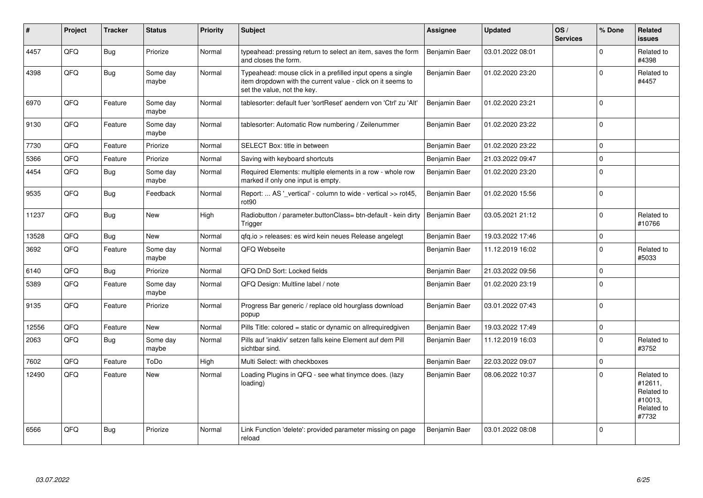| #     | Project | <b>Tracker</b> | <b>Status</b>     | <b>Priority</b> | <b>Subject</b>                                                                                                                                           | <b>Assignee</b>      | <b>Updated</b>   | OS/<br><b>Services</b> | % Done      | Related<br><b>issues</b>                                              |
|-------|---------|----------------|-------------------|-----------------|----------------------------------------------------------------------------------------------------------------------------------------------------------|----------------------|------------------|------------------------|-------------|-----------------------------------------------------------------------|
| 4457  | QFQ     | Bug            | Priorize          | Normal          | typeahead: pressing return to select an item, saves the form<br>and closes the form.                                                                     | Benjamin Baer        | 03.01.2022 08:01 |                        | $\Omega$    | Related to<br>#4398                                                   |
| 4398  | QFQ     | <b>Bug</b>     | Some day<br>maybe | Normal          | Typeahead: mouse click in a prefilled input opens a single<br>item dropdown with the current value - click on it seems to<br>set the value, not the key. | Benjamin Baer        | 01.02.2020 23:20 |                        | $\Omega$    | Related to<br>#4457                                                   |
| 6970  | QFQ     | Feature        | Some day<br>maybe | Normal          | tablesorter: default fuer 'sortReset' aendern von 'Ctrl' zu 'Alt'                                                                                        | <b>Benjamin Baer</b> | 01.02.2020 23:21 |                        | $\Omega$    |                                                                       |
| 9130  | QFQ     | Feature        | Some day<br>maybe | Normal          | tablesorter: Automatic Row numbering / Zeilenummer                                                                                                       | Benjamin Baer        | 01.02.2020 23:22 |                        | $\mathbf 0$ |                                                                       |
| 7730  | QFQ     | Feature        | Priorize          | Normal          | SELECT Box: title in between                                                                                                                             | Benjamin Baer        | 01.02.2020 23:22 |                        | $\Omega$    |                                                                       |
| 5366  | QFQ     | Feature        | Priorize          | Normal          | Saving with keyboard shortcuts                                                                                                                           | Benjamin Baer        | 21.03.2022 09:47 |                        | $\Omega$    |                                                                       |
| 4454  | QFQ     | Bug            | Some day<br>maybe | Normal          | Required Elements: multiple elements in a row - whole row<br>marked if only one input is empty.                                                          | Benjamin Baer        | 01.02.2020 23:20 |                        | $\Omega$    |                                                                       |
| 9535  | QFQ     | <b>Bug</b>     | Feedback          | Normal          | Report:  AS '_vertical' - column to wide - vertical >> rot45,<br>rot90                                                                                   | Benjamin Baer        | 01.02.2020 15:56 |                        | $\Omega$    |                                                                       |
| 11237 | QFQ     | Bug            | <b>New</b>        | High            | Radiobutton / parameter.buttonClass= btn-default - kein dirty<br>Trigger                                                                                 | Benjamin Baer        | 03.05.2021 21:12 |                        | $\Omega$    | Related to<br>#10766                                                  |
| 13528 | QFQ     | Bug            | New               | Normal          | gfg.io > releases: es wird kein neues Release angelegt                                                                                                   | Benjamin Baer        | 19.03.2022 17:46 |                        | $\mathbf 0$ |                                                                       |
| 3692  | QFQ     | Feature        | Some day<br>maybe | Normal          | QFQ Webseite                                                                                                                                             | Benjamin Baer        | 11.12.2019 16:02 |                        | $\Omega$    | Related to<br>#5033                                                   |
| 6140  | QFQ     | Bug            | Priorize          | Normal          | QFQ DnD Sort: Locked fields                                                                                                                              | Benjamin Baer        | 21.03.2022 09:56 |                        | $\Omega$    |                                                                       |
| 5389  | QFQ     | Feature        | Some day<br>maybe | Normal          | QFQ Design: Multline label / note                                                                                                                        | Benjamin Baer        | 01.02.2020 23:19 |                        | $\Omega$    |                                                                       |
| 9135  | QFQ     | Feature        | Priorize          | Normal          | Progress Bar generic / replace old hourglass download<br>popup                                                                                           | Benjamin Baer        | 03.01.2022 07:43 |                        | $\Omega$    |                                                                       |
| 12556 | QFQ     | Feature        | <b>New</b>        | Normal          | Pills Title: colored = static or dynamic on allrequiredgiven                                                                                             | Benjamin Baer        | 19.03.2022 17:49 |                        | $\mathbf 0$ |                                                                       |
| 2063  | QFQ     | <b>Bug</b>     | Some day<br>maybe | Normal          | Pills auf 'inaktiv' setzen falls keine Element auf dem Pill<br>sichtbar sind.                                                                            | Benjamin Baer        | 11.12.2019 16:03 |                        | $\Omega$    | Related to<br>#3752                                                   |
| 7602  | QFQ     | Feature        | ToDo              | High            | Multi Select: with checkboxes                                                                                                                            | Benjamin Baer        | 22.03.2022 09:07 |                        | $\Omega$    |                                                                       |
| 12490 | QFQ     | Feature        | New               | Normal          | Loading Plugins in QFQ - see what tinymce does. (lazy<br>loading)                                                                                        | Benjamin Baer        | 08.06.2022 10:37 |                        | $\Omega$    | Related to<br>#12611,<br>Related to<br>#10013,<br>Related to<br>#7732 |
| 6566  | QFQ     | Bug            | Priorize          | Normal          | Link Function 'delete': provided parameter missing on page<br>reload                                                                                     | Benjamin Baer        | 03.01.2022 08:08 |                        | $\Omega$    |                                                                       |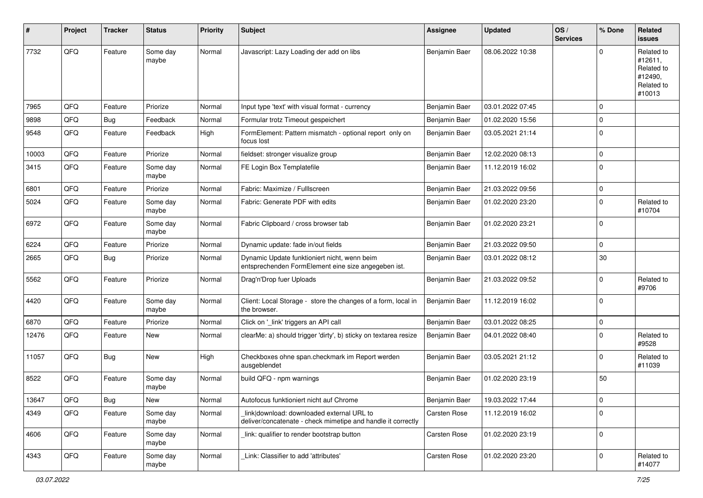| ∦     | Project | <b>Tracker</b> | <b>Status</b>     | <b>Priority</b> | <b>Subject</b>                                                                                            | <b>Assignee</b>     | <b>Updated</b>   | OS/<br><b>Services</b> | % Done      | Related<br>issues                                                      |
|-------|---------|----------------|-------------------|-----------------|-----------------------------------------------------------------------------------------------------------|---------------------|------------------|------------------------|-------------|------------------------------------------------------------------------|
| 7732  | QFQ     | Feature        | Some day<br>maybe | Normal          | Javascript: Lazy Loading der add on libs                                                                  | Benjamin Baer       | 08.06.2022 10:38 |                        | $\Omega$    | Related to<br>#12611,<br>Related to<br>#12490,<br>Related to<br>#10013 |
| 7965  | QFQ     | Feature        | Priorize          | Normal          | Input type 'text' with visual format - currency                                                           | Benjamin Baer       | 03.01.2022 07:45 |                        | $\mathbf 0$ |                                                                        |
| 9898  | QFQ     | Bug            | Feedback          | Normal          | Formular trotz Timeout gespeichert                                                                        | Benjamin Baer       | 01.02.2020 15:56 |                        | $\mathbf 0$ |                                                                        |
| 9548  | QFQ     | Feature        | Feedback          | High            | FormElement: Pattern mismatch - optional report only on<br>focus lost                                     | Benjamin Baer       | 03.05.2021 21:14 |                        | $\mathbf 0$ |                                                                        |
| 10003 | QFQ     | Feature        | Priorize          | Normal          | fieldset: stronger visualize group                                                                        | Benjamin Baer       | 12.02.2020 08:13 |                        | $\mathbf 0$ |                                                                        |
| 3415  | QFQ     | Feature        | Some day<br>maybe | Normal          | FE Login Box Templatefile                                                                                 | Benjamin Baer       | 11.12.2019 16:02 |                        | $\Omega$    |                                                                        |
| 6801  | QFQ     | Feature        | Priorize          | Normal          | Fabric: Maximize / Fulllscreen                                                                            | Benjamin Baer       | 21.03.2022 09:56 |                        | $\mathbf 0$ |                                                                        |
| 5024  | QFQ     | Feature        | Some day<br>maybe | Normal          | Fabric: Generate PDF with edits                                                                           | Benjamin Baer       | 01.02.2020 23:20 |                        | $\Omega$    | Related to<br>#10704                                                   |
| 6972  | QFQ     | Feature        | Some day<br>maybe | Normal          | Fabric Clipboard / cross browser tab                                                                      | Benjamin Baer       | 01.02.2020 23:21 |                        | $\mathbf 0$ |                                                                        |
| 6224  | QFQ     | Feature        | Priorize          | Normal          | Dynamic update: fade in/out fields                                                                        | Benjamin Baer       | 21.03.2022 09:50 |                        | $\mathbf 0$ |                                                                        |
| 2665  | QFQ     | Bug            | Priorize          | Normal          | Dynamic Update funktioniert nicht, wenn beim<br>entsprechenden FormElement eine size angegeben ist.       | Benjamin Baer       | 03.01.2022 08:12 |                        | 30          |                                                                        |
| 5562  | QFQ     | Feature        | Priorize          | Normal          | Drag'n'Drop fuer Uploads                                                                                  | Benjamin Baer       | 21.03.2022 09:52 |                        | $\Omega$    | Related to<br>#9706                                                    |
| 4420  | QFQ     | Feature        | Some day<br>maybe | Normal          | Client: Local Storage - store the changes of a form, local in<br>the browser.                             | Benjamin Baer       | 11.12.2019 16:02 |                        | $\Omega$    |                                                                        |
| 6870  | QFQ     | Feature        | Priorize          | Normal          | Click on '_link' triggers an API call                                                                     | Benjamin Baer       | 03.01.2022 08:25 |                        | $\mathbf 0$ |                                                                        |
| 12476 | QFQ     | Feature        | New               | Normal          | clearMe: a) should trigger 'dirty', b) sticky on textarea resize                                          | Benjamin Baer       | 04.01.2022 08:40 |                        | $\Omega$    | Related to<br>#9528                                                    |
| 11057 | QFQ     | Bug            | New               | High            | Checkboxes ohne span.checkmark im Report werden<br>ausgeblendet                                           | Benjamin Baer       | 03.05.2021 21:12 |                        | $\Omega$    | Related to<br>#11039                                                   |
| 8522  | QFQ     | Feature        | Some day<br>maybe | Normal          | build QFQ - npm warnings                                                                                  | Benjamin Baer       | 01.02.2020 23:19 |                        | 50          |                                                                        |
| 13647 | QFQ     | <b>Bug</b>     | New               | Normal          | Autofocus funktioniert nicht auf Chrome                                                                   | Benjamin Baer       | 19.03.2022 17:44 |                        | O           |                                                                        |
| 4349  | QFQ     | Feature        | Some day<br>maybe | Normal          | link download: downloaded external URL to<br>deliver/concatenate - check mimetipe and handle it correctly | <b>Carsten Rose</b> | 11.12.2019 16:02 |                        | $\mathbf 0$ |                                                                        |
| 4606  | QFQ     | Feature        | Some day<br>maybe | Normal          | link: qualifier to render bootstrap button                                                                | Carsten Rose        | 01.02.2020 23:19 |                        | $\mathbf 0$ |                                                                        |
| 4343  | QFQ     | Feature        | Some day<br>maybe | Normal          | Link: Classifier to add 'attributes'                                                                      | <b>Carsten Rose</b> | 01.02.2020 23:20 |                        | $\mathbf 0$ | Related to<br>#14077                                                   |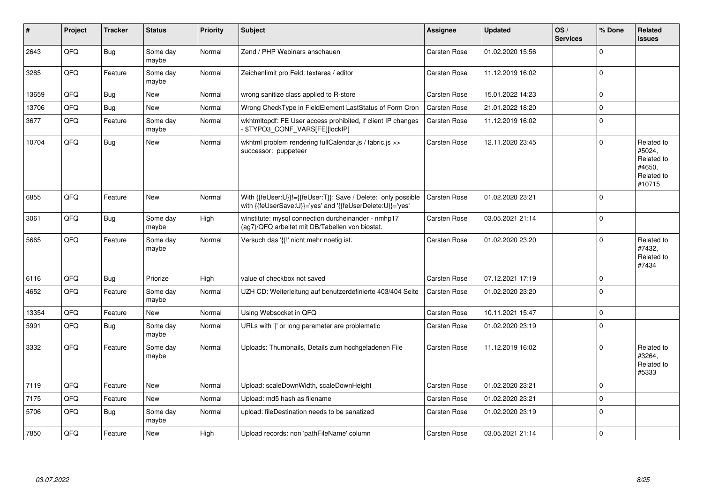| #     | Project | <b>Tracker</b> | <b>Status</b>     | <b>Priority</b> | <b>Subject</b>                                                                                                             | <b>Assignee</b>     | <b>Updated</b>   | OS/<br><b>Services</b> | % Done      | <b>Related</b><br><b>issues</b>                                      |
|-------|---------|----------------|-------------------|-----------------|----------------------------------------------------------------------------------------------------------------------------|---------------------|------------------|------------------------|-------------|----------------------------------------------------------------------|
| 2643  | QFQ     | <b>Bug</b>     | Some day<br>maybe | Normal          | Zend / PHP Webinars anschauen                                                                                              | <b>Carsten Rose</b> | 01.02.2020 15:56 |                        | $\Omega$    |                                                                      |
| 3285  | QFQ     | Feature        | Some day<br>maybe | Normal          | Zeichenlimit pro Feld: textarea / editor                                                                                   | <b>Carsten Rose</b> | 11.12.2019 16:02 |                        | $\Omega$    |                                                                      |
| 13659 | QFQ     | Bug            | <b>New</b>        | Normal          | wrong sanitize class applied to R-store                                                                                    | <b>Carsten Rose</b> | 15.01.2022 14:23 |                        | $\mathbf 0$ |                                                                      |
| 13706 | QFQ     | Bug            | <b>New</b>        | Normal          | Wrong CheckType in FieldElement LastStatus of Form Cron                                                                    | <b>Carsten Rose</b> | 21.01.2022 18:20 |                        | $\mathbf 0$ |                                                                      |
| 3677  | QFQ     | Feature        | Some day<br>maybe | Normal          | wkhtmltopdf: FE User access prohibited, if client IP changes<br>\$TYPO3_CONF_VARS[FE][lockIP]                              | <b>Carsten Rose</b> | 11.12.2019 16:02 |                        | $\Omega$    |                                                                      |
| 10704 | QFQ     | Bug            | New               | Normal          | wkhtml problem rendering fullCalendar.js / fabric.js >><br>successor: puppeteer                                            | Carsten Rose        | 12.11.2020 23:45 |                        | $\Omega$    | Related to<br>#5024,<br>Related to<br>#4650,<br>Related to<br>#10715 |
| 6855  | QFQ     | Feature        | <b>New</b>        | Normal          | With {{feUser:U}}!={{feUser:T}}: Save / Delete: only possible<br>with {{feUserSave:U}}='yes' and '{{feUserDelete:U}}='yes' | <b>Carsten Rose</b> | 01.02.2020 23:21 |                        | $\Omega$    |                                                                      |
| 3061  | QFQ     | Bug            | Some day<br>maybe | High            | winstitute: mysql connection durcheinander - nmhp17<br>(ag7)/QFQ arbeitet mit DB/Tabellen von biostat.                     | <b>Carsten Rose</b> | 03.05.2021 21:14 |                        | $\Omega$    |                                                                      |
| 5665  | QFQ     | Feature        | Some day<br>maybe | Normal          | Versuch das '{{!' nicht mehr noetig ist.                                                                                   | <b>Carsten Rose</b> | 01.02.2020 23:20 |                        | $\Omega$    | Related to<br>#7432,<br>Related to<br>#7434                          |
| 6116  | QFQ     | Bug            | Priorize          | High            | value of checkbox not saved                                                                                                | <b>Carsten Rose</b> | 07.12.2021 17:19 |                        | $\Omega$    |                                                                      |
| 4652  | QFQ     | Feature        | Some day<br>maybe | Normal          | UZH CD: Weiterleitung auf benutzerdefinierte 403/404 Seite                                                                 | <b>Carsten Rose</b> | 01.02.2020 23:20 |                        | $\Omega$    |                                                                      |
| 13354 | QFQ     | Feature        | New               | Normal          | Using Websocket in QFQ                                                                                                     | <b>Carsten Rose</b> | 10.11.2021 15:47 |                        | $\mathbf 0$ |                                                                      |
| 5991  | QFQ     | Bug            | Some day<br>maybe | Normal          | URLs with ' ' or long parameter are problematic                                                                            | <b>Carsten Rose</b> | 01.02.2020 23:19 |                        | $\Omega$    |                                                                      |
| 3332  | QFQ     | Feature        | Some day<br>maybe | Normal          | Uploads: Thumbnails, Details zum hochgeladenen File                                                                        | <b>Carsten Rose</b> | 11.12.2019 16:02 |                        | $\Omega$    | Related to<br>#3264,<br>Related to<br>#5333                          |
| 7119  | QFQ     | Feature        | <b>New</b>        | Normal          | Upload: scaleDownWidth, scaleDownHeight                                                                                    | Carsten Rose        | 01.02.2020 23:21 |                        | $\Omega$    |                                                                      |
| 7175  | QFQ     | Feature        | <b>New</b>        | Normal          | Upload: md5 hash as filename                                                                                               | <b>Carsten Rose</b> | 01.02.2020 23:21 |                        | $\mathbf 0$ |                                                                      |
| 5706  | QFQ     | Bug            | Some day<br>maybe | Normal          | upload: fileDestination needs to be sanatized                                                                              | <b>Carsten Rose</b> | 01.02.2020 23:19 |                        | $\mathbf 0$ |                                                                      |
| 7850  | QFQ     | Feature        | New               | High            | Upload records: non 'pathFileName' column                                                                                  | <b>Carsten Rose</b> | 03.05.2021 21:14 |                        | $\mathbf 0$ |                                                                      |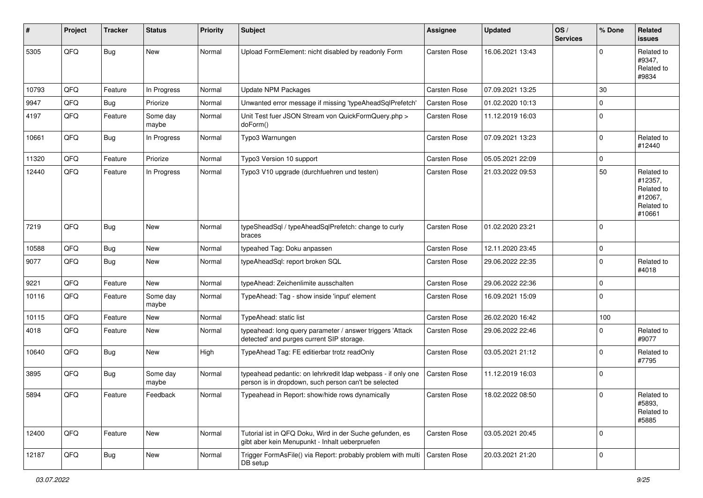| ∦     | Project | <b>Tracker</b> | <b>Status</b>     | <b>Priority</b> | <b>Subject</b>                                                                                                       | <b>Assignee</b>     | <b>Updated</b>   | OS/<br><b>Services</b> | % Done      | Related<br>issues                                                      |
|-------|---------|----------------|-------------------|-----------------|----------------------------------------------------------------------------------------------------------------------|---------------------|------------------|------------------------|-------------|------------------------------------------------------------------------|
| 5305  | QFQ     | <b>Bug</b>     | New               | Normal          | Upload FormElement: nicht disabled by readonly Form                                                                  | <b>Carsten Rose</b> | 16.06.2021 13:43 |                        | $\Omega$    | Related to<br>#9347,<br>Related to<br>#9834                            |
| 10793 | QFQ     | Feature        | In Progress       | Normal          | <b>Update NPM Packages</b>                                                                                           | <b>Carsten Rose</b> | 07.09.2021 13:25 |                        | 30          |                                                                        |
| 9947  | QFQ     | Bug            | Priorize          | Normal          | Unwanted error message if missing 'typeAheadSqlPrefetch'                                                             | <b>Carsten Rose</b> | 01.02.2020 10:13 |                        | $\mathbf 0$ |                                                                        |
| 4197  | QFQ     | Feature        | Some day<br>maybe | Normal          | Unit Test fuer JSON Stream von QuickFormQuery.php ><br>doForm()                                                      | <b>Carsten Rose</b> | 11.12.2019 16:03 |                        | $\Omega$    |                                                                        |
| 10661 | QFQ     | Bug            | In Progress       | Normal          | Typo3 Warnungen                                                                                                      | <b>Carsten Rose</b> | 07.09.2021 13:23 |                        | $\mathbf 0$ | Related to<br>#12440                                                   |
| 11320 | QFQ     | Feature        | Priorize          | Normal          | Typo3 Version 10 support                                                                                             | <b>Carsten Rose</b> | 05.05.2021 22:09 |                        | $\mathbf 0$ |                                                                        |
| 12440 | QFQ     | Feature        | In Progress       | Normal          | Typo3 V10 upgrade (durchfuehren und testen)                                                                          | <b>Carsten Rose</b> | 21.03.2022 09:53 |                        | 50          | Related to<br>#12357,<br>Related to<br>#12067,<br>Related to<br>#10661 |
| 7219  | QFQ     | Bug            | New               | Normal          | typeSheadSql / typeAheadSqlPrefetch: change to curly<br>braces                                                       | <b>Carsten Rose</b> | 01.02.2020 23:21 |                        | $\Omega$    |                                                                        |
| 10588 | QFQ     | Bug            | New               | Normal          | typeahed Tag: Doku anpassen                                                                                          | Carsten Rose        | 12.11.2020 23:45 |                        | $\mathbf 0$ |                                                                        |
| 9077  | QFQ     | Bug            | New               | Normal          | typeAheadSql: report broken SQL                                                                                      | <b>Carsten Rose</b> | 29.06.2022 22:35 |                        | $\Omega$    | Related to<br>#4018                                                    |
| 9221  | QFQ     | Feature        | New               | Normal          | typeAhead: Zeichenlimite ausschalten                                                                                 | Carsten Rose        | 29.06.2022 22:36 |                        | $\mathbf 0$ |                                                                        |
| 10116 | QFQ     | Feature        | Some day<br>maybe | Normal          | TypeAhead: Tag - show inside 'input' element                                                                         | <b>Carsten Rose</b> | 16.09.2021 15:09 |                        | $\mathbf 0$ |                                                                        |
| 10115 | QFQ     | Feature        | New               | Normal          | TypeAhead: static list                                                                                               | <b>Carsten Rose</b> | 26.02.2020 16:42 |                        | 100         |                                                                        |
| 4018  | QFQ     | Feature        | New               | Normal          | typeahead: long query parameter / answer triggers 'Attack<br>detected' and purges current SIP storage.               | Carsten Rose        | 29.06.2022 22:46 |                        | $\Omega$    | Related to<br>#9077                                                    |
| 10640 | QFQ     | Bug            | New               | High            | TypeAhead Tag: FE editierbar trotz readOnly                                                                          | <b>Carsten Rose</b> | 03.05.2021 21:12 |                        | $\Omega$    | Related to<br>#7795                                                    |
| 3895  | QFQ     | Bug            | Some day<br>maybe | Normal          | typeahead pedantic: on lehrkredit Idap webpass - if only one<br>person is in dropdown, such person can't be selected | <b>Carsten Rose</b> | 11.12.2019 16:03 |                        | 0           |                                                                        |
| 5894  | QFQ     | Feature        | Feedback          | Normal          | Typeahead in Report: show/hide rows dynamically                                                                      | <b>Carsten Rose</b> | 18.02.2022 08:50 |                        | $\Omega$    | Related to<br>#5893,<br>Related to<br>#5885                            |
| 12400 | QFQ     | Feature        | <b>New</b>        | Normal          | Tutorial ist in QFQ Doku, Wird in der Suche gefunden, es<br>gibt aber kein Menupunkt - Inhalt ueberpruefen           | <b>Carsten Rose</b> | 03.05.2021 20:45 |                        | 0           |                                                                        |
| 12187 | QFQ     | Bug            | New               | Normal          | Trigger FormAsFile() via Report: probably problem with multi<br>DB setup                                             | Carsten Rose        | 20.03.2021 21:20 |                        | $\mathbf 0$ |                                                                        |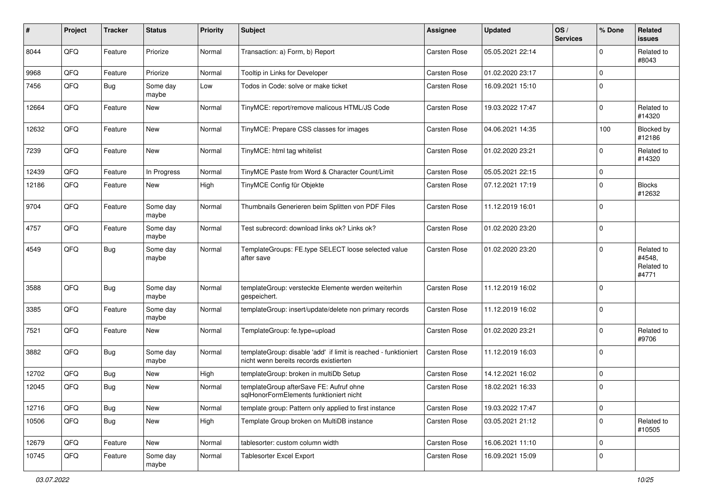| #     | Project | <b>Tracker</b> | <b>Status</b>     | <b>Priority</b> | <b>Subject</b>                                                                                            | <b>Assignee</b>     | <b>Updated</b>   | OS/<br><b>Services</b> | % Done      | Related<br><b>issues</b>                    |
|-------|---------|----------------|-------------------|-----------------|-----------------------------------------------------------------------------------------------------------|---------------------|------------------|------------------------|-------------|---------------------------------------------|
| 8044  | QFQ     | Feature        | Priorize          | Normal          | Transaction: a) Form, b) Report                                                                           | <b>Carsten Rose</b> | 05.05.2021 22:14 |                        | $\Omega$    | Related to<br>#8043                         |
| 9968  | QFQ     | Feature        | Priorize          | Normal          | Tooltip in Links for Developer                                                                            | <b>Carsten Rose</b> | 01.02.2020 23:17 |                        | $\mathbf 0$ |                                             |
| 7456  | QFQ     | <b>Bug</b>     | Some day<br>maybe | Low             | Todos in Code: solve or make ticket                                                                       | <b>Carsten Rose</b> | 16.09.2021 15:10 |                        | $\Omega$    |                                             |
| 12664 | QFQ     | Feature        | New               | Normal          | TinyMCE: report/remove malicous HTML/JS Code                                                              | <b>Carsten Rose</b> | 19.03.2022 17:47 |                        | $\Omega$    | Related to<br>#14320                        |
| 12632 | QFQ     | Feature        | New               | Normal          | TinyMCE: Prepare CSS classes for images                                                                   | <b>Carsten Rose</b> | 04.06.2021 14:35 |                        | 100         | Blocked by<br>#12186                        |
| 7239  | QFQ     | Feature        | New               | Normal          | TinyMCE: html tag whitelist                                                                               | Carsten Rose        | 01.02.2020 23:21 |                        | $\Omega$    | Related to<br>#14320                        |
| 12439 | QFQ     | Feature        | In Progress       | Normal          | TinyMCE Paste from Word & Character Count/Limit                                                           | <b>Carsten Rose</b> | 05.05.2021 22:15 |                        | $\mathbf 0$ |                                             |
| 12186 | QFQ     | Feature        | New               | High            | TinyMCE Config für Objekte                                                                                | <b>Carsten Rose</b> | 07.12.2021 17:19 |                        | $\Omega$    | <b>Blocks</b><br>#12632                     |
| 9704  | QFQ     | Feature        | Some day<br>maybe | Normal          | Thumbnails Generieren beim Splitten von PDF Files                                                         | <b>Carsten Rose</b> | 11.12.2019 16:01 |                        | $\Omega$    |                                             |
| 4757  | QFQ     | Feature        | Some day<br>maybe | Normal          | Test subrecord: download links ok? Links ok?                                                              | <b>Carsten Rose</b> | 01.02.2020 23:20 |                        | $\mathbf 0$ |                                             |
| 4549  | QFQ     | Bug            | Some day<br>maybe | Normal          | TemplateGroups: FE.type SELECT loose selected value<br>after save                                         | Carsten Rose        | 01.02.2020 23:20 |                        | $\Omega$    | Related to<br>#4548,<br>Related to<br>#4771 |
| 3588  | QFQ     | Bug            | Some day<br>maybe | Normal          | templateGroup: versteckte Elemente werden weiterhin<br>gespeichert.                                       | <b>Carsten Rose</b> | 11.12.2019 16:02 |                        | $\Omega$    |                                             |
| 3385  | QFQ     | Feature        | Some day<br>maybe | Normal          | templateGroup: insert/update/delete non primary records                                                   | <b>Carsten Rose</b> | 11.12.2019 16:02 |                        | $\Omega$    |                                             |
| 7521  | QFQ     | Feature        | New               | Normal          | TemplateGroup: fe.type=upload                                                                             | <b>Carsten Rose</b> | 01.02.2020 23:21 |                        | $\Omega$    | Related to<br>#9706                         |
| 3882  | QFQ     | Bug            | Some day<br>maybe | Normal          | templateGroup: disable 'add' if limit is reached - funktioniert<br>nicht wenn bereits records existierten | <b>Carsten Rose</b> | 11.12.2019 16:03 |                        | $\Omega$    |                                             |
| 12702 | QFQ     | Bug            | New               | High            | templateGroup: broken in multiDb Setup                                                                    | <b>Carsten Rose</b> | 14.12.2021 16:02 |                        | $\mathbf 0$ |                                             |
| 12045 | QFQ     | Bug            | New               | Normal          | templateGroup afterSave FE: Aufruf ohne<br>sqlHonorFormElements funktioniert nicht                        | <b>Carsten Rose</b> | 18.02.2021 16:33 |                        | $\mathbf 0$ |                                             |
| 12716 | QFQ     | Bug            | New               | Normal          | template group: Pattern only applied to first instance                                                    | Carsten Rose        | 19.03.2022 17:47 |                        | $\mathbf 0$ |                                             |
| 10506 | QFQ     | <b>Bug</b>     | New               | High            | Template Group broken on MultiDB instance                                                                 | Carsten Rose        | 03.05.2021 21:12 |                        | $\mathbf 0$ | Related to<br>#10505                        |
| 12679 | QFQ     | Feature        | New               | Normal          | tablesorter: custom column width                                                                          | Carsten Rose        | 16.06.2021 11:10 |                        | $\mathbf 0$ |                                             |
| 10745 | QFQ     | Feature        | Some day<br>maybe | Normal          | <b>Tablesorter Excel Export</b>                                                                           | Carsten Rose        | 16.09.2021 15:09 |                        | $\mathbf 0$ |                                             |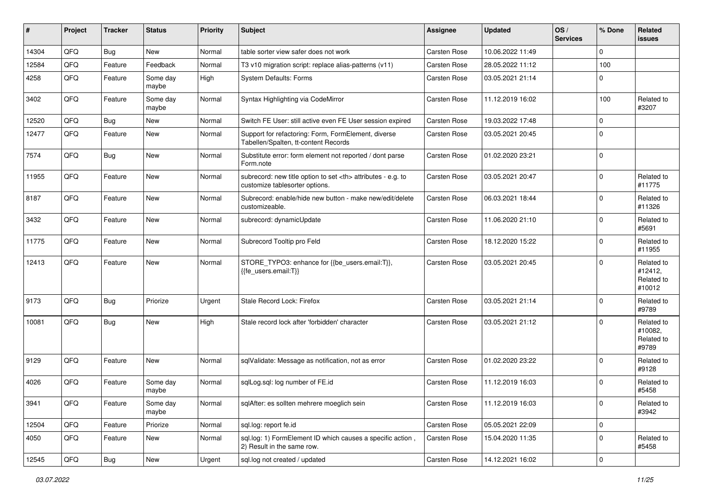| #     | Project | <b>Tracker</b> | <b>Status</b>     | <b>Priority</b> | <b>Subject</b>                                                                                       | <b>Assignee</b>                                        | <b>Updated</b>      | OS/<br><b>Services</b> | % Done      | Related<br><b>issues</b>                      |                      |
|-------|---------|----------------|-------------------|-----------------|------------------------------------------------------------------------------------------------------|--------------------------------------------------------|---------------------|------------------------|-------------|-----------------------------------------------|----------------------|
| 14304 | QFQ     | Bug            | New               | Normal          | table sorter view safer does not work                                                                | Carsten Rose                                           | 10.06.2022 11:49    |                        | $\Omega$    |                                               |                      |
| 12584 | QFQ     | Feature        | Feedback          | Normal          | T3 v10 migration script: replace alias-patterns (v11)                                                | <b>Carsten Rose</b>                                    | 28.05.2022 11:12    |                        | 100         |                                               |                      |
| 4258  | QFQ     | Feature        | Some day<br>maybe | High            | <b>System Defaults: Forms</b>                                                                        | <b>Carsten Rose</b>                                    | 03.05.2021 21:14    |                        | $\Omega$    |                                               |                      |
| 3402  | QFQ     | Feature        | Some day<br>maybe | Normal          | Syntax Highlighting via CodeMirror                                                                   | <b>Carsten Rose</b>                                    | 11.12.2019 16:02    |                        | 100         | Related to<br>#3207                           |                      |
| 12520 | QFQ     | Bug            | <b>New</b>        | Normal          | Switch FE User: still active even FE User session expired                                            | <b>Carsten Rose</b>                                    | 19.03.2022 17:48    |                        | $\mathbf 0$ |                                               |                      |
| 12477 | QFQ     | Feature        | New               | Normal          | Support for refactoring: Form, FormElement, diverse<br>Tabellen/Spalten, tt-content Records          | Carsten Rose                                           | 03.05.2021 20:45    |                        | $\Omega$    |                                               |                      |
| 7574  | QFQ     | Bug            | New               | Normal          | Substitute error: form element not reported / dont parse<br>Form.note                                | <b>Carsten Rose</b>                                    | 01.02.2020 23:21    |                        | $\mathbf 0$ |                                               |                      |
| 11955 | QFQ     | Feature        | New               | Normal          | subrecord: new title option to set <th> attributes - e.g. to<br/>customize tablesorter options.</th> | attributes - e.g. to<br>customize tablesorter options. | <b>Carsten Rose</b> | 03.05.2021 20:47       |             | $\mathbf 0$                                   | Related to<br>#11775 |
| 8187  | QFQ     | Feature        | New               | Normal          | Subrecord: enable/hide new button - make new/edit/delete<br>customizeable.                           | <b>Carsten Rose</b>                                    | 06.03.2021 18:44    |                        | $\Omega$    | Related to<br>#11326                          |                      |
| 3432  | QFQ     | Feature        | New               | Normal          | subrecord: dynamicUpdate                                                                             | <b>Carsten Rose</b>                                    | 11.06.2020 21:10    |                        | $\Omega$    | Related to<br>#5691                           |                      |
| 11775 | QFQ     | Feature        | New               | Normal          | Subrecord Tooltip pro Feld                                                                           | <b>Carsten Rose</b>                                    | 18.12.2020 15:22    |                        | $\mathbf 0$ | Related to<br>#11955                          |                      |
| 12413 | QFQ     | Feature        | New               | Normal          | STORE_TYPO3: enhance for {{be_users.email:T}},<br>{{fe users.email:T}}                               | <b>Carsten Rose</b>                                    | 03.05.2021 20:45    |                        | $\Omega$    | Related to<br>#12412,<br>Related to<br>#10012 |                      |
| 9173  | QFQ     | Bug            | Priorize          | Urgent          | Stale Record Lock: Firefox                                                                           | <b>Carsten Rose</b>                                    | 03.05.2021 21:14    |                        | $\mathbf 0$ | Related to<br>#9789                           |                      |
| 10081 | QFQ     | Bug            | New               | High            | Stale record lock after 'forbidden' character                                                        | <b>Carsten Rose</b>                                    | 03.05.2021 21:12    |                        | $\Omega$    | Related to<br>#10082,<br>Related to<br>#9789  |                      |
| 9129  | QFQ     | Feature        | New               | Normal          | sqlValidate: Message as notification, not as error                                                   | Carsten Rose                                           | 01.02.2020 23:22    |                        | $\Omega$    | Related to<br>#9128                           |                      |
| 4026  | QFQ     | Feature        | Some day<br>maybe | Normal          | sqlLog.sql: log number of FE.id                                                                      | <b>Carsten Rose</b>                                    | 11.12.2019 16:03    |                        | $\Omega$    | Related to<br>#5458                           |                      |
| 3941  | QFQ     | Feature        | Some day<br>maybe | Normal          | sqlAfter: es sollten mehrere moeglich sein                                                           | Carsten Rose                                           | 11.12.2019 16:03    |                        | 0           | Related to<br>#3942                           |                      |
| 12504 | QFQ     | Feature        | Priorize          | Normal          | sql.log: report fe.id                                                                                | Carsten Rose                                           | 05.05.2021 22:09    |                        | $\mathbf 0$ |                                               |                      |
| 4050  | QFQ     | Feature        | New               | Normal          | sql.log: 1) FormElement ID which causes a specific action,<br>2) Result in the same row.             | Carsten Rose                                           | 15.04.2020 11:35    |                        | $\mathbf 0$ | Related to<br>#5458                           |                      |
| 12545 | QFG     | Bug            | New               | Urgent          | sql.log not created / updated                                                                        | Carsten Rose                                           | 14.12.2021 16:02    |                        | $\pmb{0}$   |                                               |                      |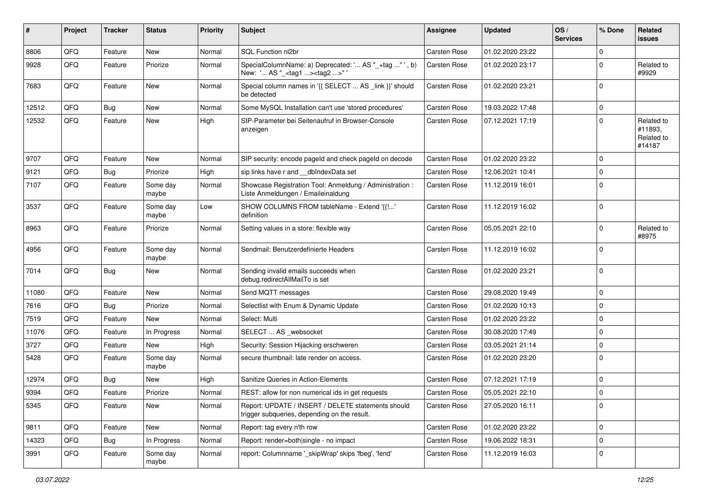| #     | Project | <b>Tracker</b> | <b>Status</b>     | <b>Priority</b> | <b>Subject</b>                                                                                     | <b>Assignee</b>     | <b>Updated</b>   | OS/<br><b>Services</b> | % Done         | Related<br>issues                             |
|-------|---------|----------------|-------------------|-----------------|----------------------------------------------------------------------------------------------------|---------------------|------------------|------------------------|----------------|-----------------------------------------------|
| 8806  | QFQ     | Feature        | New               | Normal          | SQL Function nl2br                                                                                 | Carsten Rose        | 01.02.2020 23:22 |                        | $\Omega$       |                                               |
| 9928  | QFQ     | Feature        | Priorize          | Normal          | SpecialColumnName: a) Deprecated: ' AS "_+tag " ', b)<br>New: ' AS "_ <tag1><tag2>"'</tag2></tag1> | <b>Carsten Rose</b> | 01.02.2020 23:17 |                        | $\Omega$       | Related to<br>#9929                           |
| 7683  | QFQ     | Feature        | New               | Normal          | Special column names in '{{ SELECT  AS _link }}' should<br>be detected                             | <b>Carsten Rose</b> | 01.02.2020 23:21 |                        | $\Omega$       |                                               |
| 12512 | QFQ     | Bug            | <b>New</b>        | Normal          | Some MySQL Installation can't use 'stored procedures'                                              | <b>Carsten Rose</b> | 19.03.2022 17:48 |                        | $\overline{0}$ |                                               |
| 12532 | QFQ     | Feature        | <b>New</b>        | High            | SIP-Parameter bei Seitenaufruf in Browser-Console<br>anzeigen                                      | <b>Carsten Rose</b> | 07.12.2021 17:19 |                        | $\Omega$       | Related to<br>#11893,<br>Related to<br>#14187 |
| 9707  | QFQ     | Feature        | <b>New</b>        | Normal          | SIP security: encode pageld and check pageld on decode                                             | <b>Carsten Rose</b> | 01.02.2020 23:22 |                        | $\Omega$       |                                               |
| 9121  | QFQ     | Bug            | Priorize          | High            | sip links have r and __dbIndexData set                                                             | <b>Carsten Rose</b> | 12.06.2021 10:41 |                        | $\mathbf 0$    |                                               |
| 7107  | QFQ     | Feature        | Some day<br>maybe | Normal          | Showcase Registration Tool: Anmeldung / Administration :<br>Liste Anmeldungen / Emaileinaldung     | <b>Carsten Rose</b> | 11.12.2019 16:01 |                        | $\Omega$       |                                               |
| 3537  | QFQ     | Feature        | Some day<br>maybe | Low             | SHOW COLUMNS FROM tableName - Extend '{{!'<br>definition                                           | <b>Carsten Rose</b> | 11.12.2019 16:02 |                        | $\overline{0}$ |                                               |
| 8963  | QFQ     | Feature        | Priorize          | Normal          | Setting values in a store: flexible way                                                            | <b>Carsten Rose</b> | 05.05.2021 22:10 |                        | $\Omega$       | Related to<br>#8975                           |
| 4956  | QFQ     | Feature        | Some day<br>maybe | Normal          | Sendmail: Benutzerdefinierte Headers                                                               | <b>Carsten Rose</b> | 11.12.2019 16:02 |                        | $\Omega$       |                                               |
| 7014  | QFQ     | <b>Bug</b>     | <b>New</b>        | Normal          | Sending invalid emails succeeds when<br>debug.redirectAllMailTo is set                             | <b>Carsten Rose</b> | 01.02.2020 23:21 |                        | $\overline{0}$ |                                               |
| 11080 | QFQ     | Feature        | <b>New</b>        | Normal          | Send MQTT messages                                                                                 | <b>Carsten Rose</b> | 29.08.2020 19:49 |                        | $\mathbf 0$    |                                               |
| 7616  | QFQ     | Bug            | Priorize          | Normal          | Selectlist with Enum & Dynamic Update                                                              | <b>Carsten Rose</b> | 01.02.2020 10:13 |                        | $\mathbf 0$    |                                               |
| 7519  | QFQ     | Feature        | New               | Normal          | Select: Multi                                                                                      | Carsten Rose        | 01.02.2020 23:22 |                        | $\overline{0}$ |                                               |
| 11076 | QFQ     | Feature        | In Progress       | Normal          | SELECT  AS _websocket                                                                              | <b>Carsten Rose</b> | 30.08.2020 17:49 |                        | $\mathbf 0$    |                                               |
| 3727  | QFQ     | Feature        | New               | High            | Security: Session Hijacking erschweren                                                             | <b>Carsten Rose</b> | 03.05.2021 21:14 |                        | $\mathbf 0$    |                                               |
| 5428  | QFQ     | Feature        | Some day<br>maybe | Normal          | secure thumbnail: late render on access.                                                           | <b>Carsten Rose</b> | 01.02.2020 23:20 |                        | $\Omega$       |                                               |
| 12974 | QFQ     | Bug            | <b>New</b>        | High            | Sanitize Queries in Action-Elements                                                                | <b>Carsten Rose</b> | 07.12.2021 17:19 |                        | $\mathbf 0$    |                                               |
| 9394  | QFQ     | Feature        | Priorize          | Normal          | REST: allow for non numerical ids in get requests                                                  | Carsten Rose        | 05.05.2021 22:10 |                        | $\overline{0}$ |                                               |
| 5345  | QFQ     | Feature        | New               | Normal          | Report: UPDATE / INSERT / DELETE statements should<br>trigger subqueries, depending on the result. | Carsten Rose        | 27.05.2020 16:11 |                        | $\overline{0}$ |                                               |
| 9811  | QFQ     | Feature        | New               | Normal          | Report: tag every n'th row                                                                         | Carsten Rose        | 01.02.2020 23:22 |                        | $\mathbf 0$    |                                               |
| 14323 | QFQ     | <b>Bug</b>     | In Progress       | Normal          | Report: render=both single - no impact                                                             | Carsten Rose        | 19.06.2022 18:31 |                        | $\mathbf 0$    |                                               |
| 3991  | QFQ     | Feature        | Some day<br>maybe | Normal          | report: Columnname '_skipWrap' skips 'fbeg', 'fend'                                                | Carsten Rose        | 11.12.2019 16:03 |                        | 0              |                                               |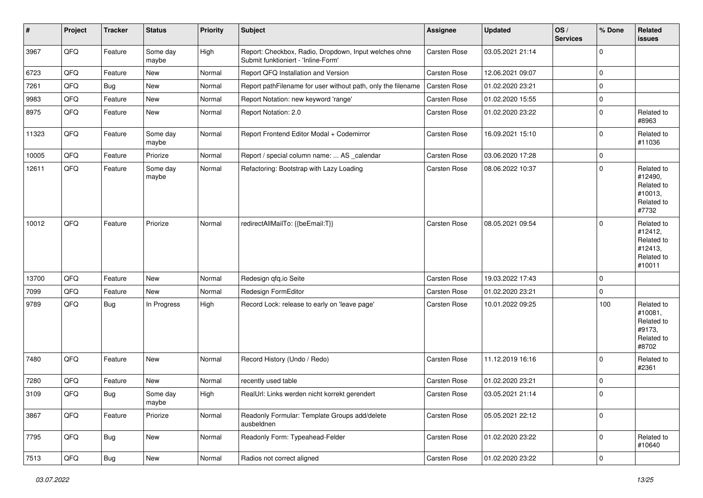| #     | Project        | <b>Tracker</b> | <b>Status</b>     | <b>Priority</b> | <b>Subject</b>                                                                               | <b>Assignee</b>     | <b>Updated</b>   | OS/<br><b>Services</b> | % Done      | Related<br><b>issues</b>                                               |
|-------|----------------|----------------|-------------------|-----------------|----------------------------------------------------------------------------------------------|---------------------|------------------|------------------------|-------------|------------------------------------------------------------------------|
| 3967  | QFQ            | Feature        | Some day<br>maybe | High            | Report: Checkbox, Radio, Dropdown, Input welches ohne<br>Submit funktioniert - 'Inline-Form' | Carsten Rose        | 03.05.2021 21:14 |                        | $\mathbf 0$ |                                                                        |
| 6723  | QFQ            | Feature        | New               | Normal          | Report QFQ Installation and Version                                                          | Carsten Rose        | 12.06.2021 09:07 |                        | $\mathbf 0$ |                                                                        |
| 7261  | QFQ            | Bug            | New               | Normal          | Report pathFilename for user without path, only the filename                                 | Carsten Rose        | 01.02.2020 23:21 |                        | $\mathbf 0$ |                                                                        |
| 9983  | QFQ            | Feature        | New               | Normal          | Report Notation: new keyword 'range'                                                         | <b>Carsten Rose</b> | 01.02.2020 15:55 |                        | $\mathbf 0$ |                                                                        |
| 8975  | QFQ            | Feature        | New               | Normal          | Report Notation: 2.0                                                                         | <b>Carsten Rose</b> | 01.02.2020 23:22 |                        | $\Omega$    | Related to<br>#8963                                                    |
| 11323 | QFQ            | Feature        | Some day<br>maybe | Normal          | Report Frontend Editor Modal + Codemirror                                                    | Carsten Rose        | 16.09.2021 15:10 |                        | $\Omega$    | Related to<br>#11036                                                   |
| 10005 | QFQ            | Feature        | Priorize          | Normal          | Report / special column name:  AS _calendar                                                  | Carsten Rose        | 03.06.2020 17:28 |                        | $\mathbf 0$ |                                                                        |
| 12611 | QFQ            | Feature        | Some day<br>maybe | Normal          | Refactoring: Bootstrap with Lazy Loading                                                     | Carsten Rose        | 08.06.2022 10:37 |                        | $\mathbf 0$ | Related to<br>#12490,<br>Related to<br>#10013,<br>Related to<br>#7732  |
| 10012 | QFQ            | Feature        | Priorize          | Normal          | redirectAllMailTo: {{beEmail:T}}                                                             | Carsten Rose        | 08.05.2021 09:54 |                        | $\mathbf 0$ | Related to<br>#12412,<br>Related to<br>#12413,<br>Related to<br>#10011 |
| 13700 | QFQ            | Feature        | <b>New</b>        | Normal          | Redesign qfq.io Seite                                                                        | Carsten Rose        | 19.03.2022 17:43 |                        | $\mathbf 0$ |                                                                        |
| 7099  | QFQ            | Feature        | New               | Normal          | Redesign FormEditor                                                                          | Carsten Rose        | 01.02.2020 23:21 |                        | $\mathbf 0$ |                                                                        |
| 9789  | QFQ            | Bug            | In Progress       | High            | Record Lock: release to early on 'leave page'                                                | Carsten Rose        | 10.01.2022 09:25 |                        | 100         | Related to<br>#10081,<br>Related to<br>#9173,<br>Related to<br>#8702   |
| 7480  | QFQ            | Feature        | New               | Normal          | Record History (Undo / Redo)                                                                 | Carsten Rose        | 11.12.2019 16:16 |                        | $\Omega$    | Related to<br>#2361                                                    |
| 7280  | QFQ            | Feature        | New               | Normal          | recently used table                                                                          | Carsten Rose        | 01.02.2020 23:21 |                        | $\mathbf 0$ |                                                                        |
| 3109  | QFQ            | Bug            | Some day<br>maybe | High            | RealUrl: Links werden nicht korrekt gerendert                                                | <b>Carsten Rose</b> | 03.05.2021 21:14 |                        | $\mathbf 0$ |                                                                        |
| 3867  | QFO            | Feature        | Priorize          | Normal          | Readonly Formular: Template Groups add/delete<br>ausbeldnen                                  | Carsten Rose        | 05.05.2021 22:12 |                        | $\mathbf 0$ |                                                                        |
| 7795  | QFG            | <b>Bug</b>     | New               | Normal          | Readonly Form: Typeahead-Felder                                                              | Carsten Rose        | 01.02.2020 23:22 |                        | $\mathbf 0$ | Related to<br>#10640                                                   |
| 7513  | $\mathsf{QFQ}$ | Bug            | New               | Normal          | Radios not correct aligned                                                                   | Carsten Rose        | 01.02.2020 23:22 |                        | $\pmb{0}$   |                                                                        |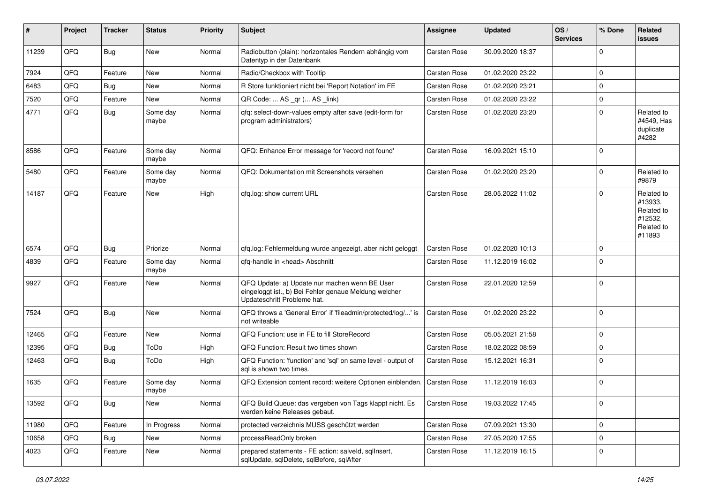| $\sharp$ | Project | <b>Tracker</b> | <b>Status</b>     | <b>Priority</b> | <b>Subject</b>                                                                                                                        | Assignee            | <b>Updated</b>   | OS/<br><b>Services</b> | % Done         | Related<br><b>issues</b>                                               |
|----------|---------|----------------|-------------------|-----------------|---------------------------------------------------------------------------------------------------------------------------------------|---------------------|------------------|------------------------|----------------|------------------------------------------------------------------------|
| 11239    | QFQ     | Bug            | New               | Normal          | Radiobutton (plain): horizontales Rendern abhängig vom<br>Datentyp in der Datenbank                                                   | Carsten Rose        | 30.09.2020 18:37 |                        | $\Omega$       |                                                                        |
| 7924     | QFQ     | Feature        | New               | Normal          | Radio/Checkbox with Tooltip                                                                                                           | Carsten Rose        | 01.02.2020 23:22 |                        | $\mathbf 0$    |                                                                        |
| 6483     | QFQ     | Bug            | <b>New</b>        | Normal          | R Store funktioniert nicht bei 'Report Notation' im FE                                                                                | Carsten Rose        | 01.02.2020 23:21 |                        | $\Omega$       |                                                                        |
| 7520     | QFQ     | Feature        | New               | Normal          | QR Code:  AS _qr ( AS _link)                                                                                                          | <b>Carsten Rose</b> | 01.02.2020 23:22 |                        | $\Omega$       |                                                                        |
| 4771     | QFQ     | Bug            | Some day<br>maybe | Normal          | qfq: select-down-values empty after save (edit-form for<br>program administrators)                                                    | <b>Carsten Rose</b> | 01.02.2020 23:20 |                        | $\Omega$       | Related to<br>#4549, Has<br>duplicate<br>#4282                         |
| 8586     | QFQ     | Feature        | Some day<br>maybe | Normal          | QFQ: Enhance Error message for 'record not found'                                                                                     | Carsten Rose        | 16.09.2021 15:10 |                        | $\mathbf 0$    |                                                                        |
| 5480     | QFQ     | Feature        | Some day<br>maybe | Normal          | QFQ: Dokumentation mit Screenshots versehen                                                                                           | Carsten Rose        | 01.02.2020 23:20 |                        | $\mathbf 0$    | Related to<br>#9879                                                    |
| 14187    | QFQ     | Feature        | New               | High            | qfq.log: show current URL                                                                                                             | <b>Carsten Rose</b> | 28.05.2022 11:02 |                        | $\mathbf 0$    | Related to<br>#13933,<br>Related to<br>#12532,<br>Related to<br>#11893 |
| 6574     | QFQ     | Bug            | Priorize          | Normal          | qfq.log: Fehlermeldung wurde angezeigt, aber nicht geloggt                                                                            | Carsten Rose        | 01.02.2020 10:13 |                        | $\Omega$       |                                                                        |
| 4839     | QFQ     | Feature        | Some day<br>maybe | Normal          | qfq-handle in <head> Abschnitt</head>                                                                                                 | Carsten Rose        | 11.12.2019 16:02 |                        | $\Omega$       |                                                                        |
| 9927     | QFQ     | Feature        | New               | Normal          | QFQ Update: a) Update nur machen wenn BE User<br>eingeloggt ist., b) Bei Fehler genaue Meldung welcher<br>Updateschritt Probleme hat. | Carsten Rose        | 22.01.2020 12:59 |                        | $\mathbf 0$    |                                                                        |
| 7524     | QFQ     | Bug            | New               | Normal          | QFQ throws a 'General Error' if 'fileadmin/protected/log/' is<br>not writeable                                                        | Carsten Rose        | 01.02.2020 23:22 |                        | $\mathbf 0$    |                                                                        |
| 12465    | QFQ     | Feature        | New               | Normal          | QFQ Function: use in FE to fill StoreRecord                                                                                           | Carsten Rose        | 05.05.2021 21:58 |                        | $\Omega$       |                                                                        |
| 12395    | QFQ     | Bug            | ToDo              | High            | QFQ Function: Result two times shown                                                                                                  | Carsten Rose        | 18.02.2022 08:59 |                        | $\Omega$       |                                                                        |
| 12463    | QFQ     | Bug            | ToDo              | High            | QFQ Function: 'function' and 'sql' on same level - output of<br>sal is shown two times.                                               | <b>Carsten Rose</b> | 15.12.2021 16:31 |                        | $\Omega$       |                                                                        |
| 1635     | QFQ     | Feature        | Some day<br>maybe | Normal          | QFQ Extension content record: weitere Optionen einblenden.                                                                            | <b>Carsten Rose</b> | 11.12.2019 16:03 |                        | $\mathbf 0$    |                                                                        |
| 13592    | QFQ     | <b>Bug</b>     | New               | Normal          | QFQ Build Queue: das vergeben von Tags klappt nicht. Es<br>werden keine Releases gebaut.                                              | Carsten Rose        | 19.03.2022 17:45 |                        | $\overline{0}$ |                                                                        |
| 11980    | QFQ     | Feature        | In Progress       | Normal          | protected verzeichnis MUSS geschützt werden                                                                                           | Carsten Rose        | 07.09.2021 13:30 |                        | $\mathbf 0$    |                                                                        |
| 10658    | QFQ     | <b>Bug</b>     | New               | Normal          | processReadOnly broken                                                                                                                | Carsten Rose        | 27.05.2020 17:55 |                        | $\mathbf 0$    |                                                                        |
| 4023     | QFQ     | Feature        | New               | Normal          | prepared statements - FE action: salveld, sqllnsert,<br>sqlUpdate, sqlDelete, sqlBefore, sqlAfter                                     | Carsten Rose        | 11.12.2019 16:15 |                        | 0              |                                                                        |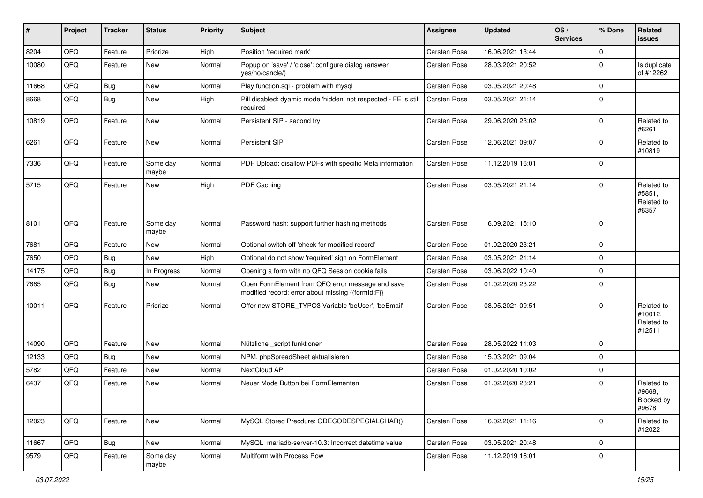| #     | Project | <b>Tracker</b> | <b>Status</b>     | <b>Priority</b> | <b>Subject</b>                                                                                        | <b>Assignee</b>     | <b>Updated</b>   | OS/<br><b>Services</b> | % Done      | Related<br><b>issues</b>                      |
|-------|---------|----------------|-------------------|-----------------|-------------------------------------------------------------------------------------------------------|---------------------|------------------|------------------------|-------------|-----------------------------------------------|
| 8204  | QFQ     | Feature        | Priorize          | High            | Position 'required mark'                                                                              | Carsten Rose        | 16.06.2021 13:44 |                        | $\mathbf 0$ |                                               |
| 10080 | QFQ     | Feature        | New               | Normal          | Popup on 'save' / 'close': configure dialog (answer<br>yes/no/cancle/)                                | <b>Carsten Rose</b> | 28.03.2021 20:52 |                        | $\Omega$    | Is duplicate<br>of #12262                     |
| 11668 | QFQ     | Bug            | New               | Normal          | Play function.sql - problem with mysql                                                                | <b>Carsten Rose</b> | 03.05.2021 20:48 |                        | $\mathbf 0$ |                                               |
| 8668  | QFQ     | Bug            | New               | High            | Pill disabled: dyamic mode 'hidden' not respected - FE is still<br>required                           | <b>Carsten Rose</b> | 03.05.2021 21:14 |                        | $\Omega$    |                                               |
| 10819 | QFQ     | Feature        | <b>New</b>        | Normal          | Persistent SIP - second try                                                                           | <b>Carsten Rose</b> | 29.06.2020 23:02 |                        | $\mathbf 0$ | Related to<br>#6261                           |
| 6261  | QFQ     | Feature        | <b>New</b>        | Normal          | Persistent SIP                                                                                        | <b>Carsten Rose</b> | 12.06.2021 09:07 |                        | $\Omega$    | Related to<br>#10819                          |
| 7336  | QFQ     | Feature        | Some day<br>maybe | Normal          | PDF Upload: disallow PDFs with specific Meta information                                              | <b>Carsten Rose</b> | 11.12.2019 16:01 |                        | $\Omega$    |                                               |
| 5715  | QFQ     | Feature        | <b>New</b>        | High            | PDF Caching                                                                                           | <b>Carsten Rose</b> | 03.05.2021 21:14 |                        | 0           | Related to<br>#5851,<br>Related to<br>#6357   |
| 8101  | QFQ     | Feature        | Some day<br>maybe | Normal          | Password hash: support further hashing methods                                                        | Carsten Rose        | 16.09.2021 15:10 |                        | $\mathbf 0$ |                                               |
| 7681  | QFQ     | Feature        | New               | Normal          | Optional switch off 'check for modified record'                                                       | <b>Carsten Rose</b> | 01.02.2020 23:21 |                        | $\Omega$    |                                               |
| 7650  | QFQ     | Bug            | <b>New</b>        | High            | Optional do not show 'required' sign on FormElement                                                   | Carsten Rose        | 03.05.2021 21:14 |                        | $\Omega$    |                                               |
| 14175 | QFQ     | Bug            | In Progress       | Normal          | Opening a form with no QFQ Session cookie fails                                                       | Carsten Rose        | 03.06.2022 10:40 |                        | 0           |                                               |
| 7685  | QFQ     | Bug            | New               | Normal          | Open FormElement from QFQ error message and save<br>modified record: error about missing {{formId:F}} | Carsten Rose        | 01.02.2020 23:22 |                        | $\Omega$    |                                               |
| 10011 | QFQ     | Feature        | Priorize          | Normal          | Offer new STORE_TYPO3 Variable 'beUser', 'beEmail'                                                    | <b>Carsten Rose</b> | 08.05.2021 09:51 |                        | $\Omega$    | Related to<br>#10012,<br>Related to<br>#12511 |
| 14090 | QFQ     | Feature        | <b>New</b>        | Normal          | Nützliche _script funktionen                                                                          | <b>Carsten Rose</b> | 28.05.2022 11:03 |                        | $\Omega$    |                                               |
| 12133 | QFQ     | Bug            | New               | Normal          | NPM, phpSpreadSheet aktualisieren                                                                     | <b>Carsten Rose</b> | 15.03.2021 09:04 |                        | 0           |                                               |
| 5782  | QFQ     | Feature        | New               | Normal          | NextCloud API                                                                                         | Carsten Rose        | 01.02.2020 10:02 |                        | $\mathbf 0$ |                                               |
| 6437  | QFQ     | Feature        | New               | Normal          | Neuer Mode Button bei FormElementen                                                                   | <b>Carsten Rose</b> | 01.02.2020 23:21 |                        | $\Omega$    | Related to<br>#9668,<br>Blocked by<br>#9678   |
| 12023 | QFQ     | Feature        | New               | Normal          | MySQL Stored Precdure: QDECODESPECIALCHAR()                                                           | Carsten Rose        | 16.02.2021 11:16 |                        | $\mathbf 0$ | Related to<br>#12022                          |
| 11667 | QFQ     | Bug            | New               | Normal          | MySQL mariadb-server-10.3: Incorrect datetime value                                                   | Carsten Rose        | 03.05.2021 20:48 |                        | $\mathbf 0$ |                                               |
| 9579  | QFQ     | Feature        | Some day<br>maybe | Normal          | Multiform with Process Row                                                                            | Carsten Rose        | 11.12.2019 16:01 |                        | 0           |                                               |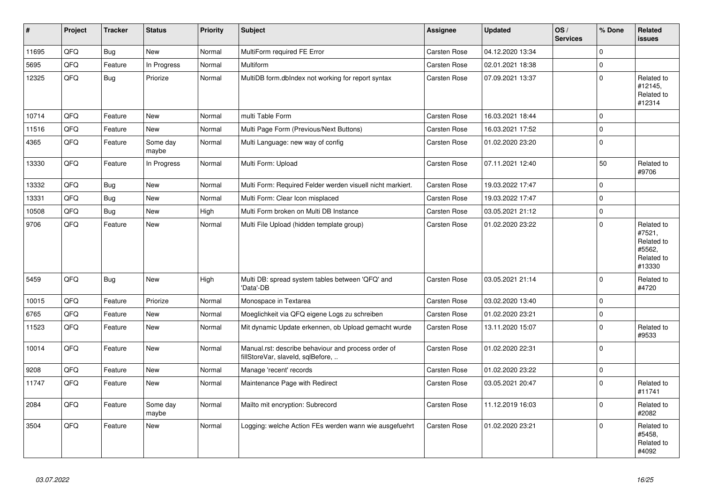| #     | <b>Project</b> | <b>Tracker</b> | <b>Status</b>     | <b>Priority</b> | <b>Subject</b>                                                                           | Assignee            | <b>Updated</b>   | OS/<br><b>Services</b> | % Done         | Related<br>issues                                                    |
|-------|----------------|----------------|-------------------|-----------------|------------------------------------------------------------------------------------------|---------------------|------------------|------------------------|----------------|----------------------------------------------------------------------|
| 11695 | QFQ            | Bug            | <b>New</b>        | Normal          | MultiForm required FE Error                                                              | <b>Carsten Rose</b> | 04.12.2020 13:34 |                        | $\Omega$       |                                                                      |
| 5695  | QFQ            | Feature        | In Progress       | Normal          | Multiform                                                                                | <b>Carsten Rose</b> | 02.01.2021 18:38 |                        | $\Omega$       |                                                                      |
| 12325 | QFO            | Bug            | Priorize          | Normal          | MultiDB form.dblndex not working for report syntax                                       | Carsten Rose        | 07.09.2021 13:37 |                        | $\Omega$       | Related to<br>#12145.<br>Related to<br>#12314                        |
| 10714 | QFQ            | Feature        | <b>New</b>        | Normal          | multi Table Form                                                                         | <b>Carsten Rose</b> | 16.03.2021 18:44 |                        | $\Omega$       |                                                                      |
| 11516 | QFQ            | Feature        | New               | Normal          | Multi Page Form (Previous/Next Buttons)                                                  | <b>Carsten Rose</b> | 16.03.2021 17:52 |                        | $\mathbf 0$    |                                                                      |
| 4365  | QFQ            | Feature        | Some day<br>maybe | Normal          | Multi Language: new way of config                                                        | Carsten Rose        | 01.02.2020 23:20 |                        | $\mathbf 0$    |                                                                      |
| 13330 | QFQ            | Feature        | In Progress       | Normal          | Multi Form: Upload                                                                       | <b>Carsten Rose</b> | 07.11.2021 12:40 |                        | 50             | Related to<br>#9706                                                  |
| 13332 | QFQ            | Bug            | <b>New</b>        | Normal          | Multi Form: Required Felder werden visuell nicht markiert.                               | <b>Carsten Rose</b> | 19.03.2022 17:47 |                        | $\Omega$       |                                                                      |
| 13331 | QFQ            | Bug            | New               | Normal          | Multi Form: Clear Icon misplaced                                                         | Carsten Rose        | 19.03.2022 17:47 |                        | $\Omega$       |                                                                      |
| 10508 | QFQ            | Bug            | New               | High            | Multi Form broken on Multi DB Instance                                                   | Carsten Rose        | 03.05.2021 21:12 |                        | $\mathbf 0$    |                                                                      |
| 9706  | QFQ            | Feature        | New               | Normal          | Multi File Upload (hidden template group)                                                | <b>Carsten Rose</b> | 01.02.2020 23:22 |                        | $\Omega$       | Related to<br>#7521,<br>Related to<br>#5562,<br>Related to<br>#13330 |
| 5459  | QFQ            | Bug            | <b>New</b>        | High            | Multi DB: spread system tables between 'QFQ' and<br>'Data'-DB                            | <b>Carsten Rose</b> | 03.05.2021 21:14 |                        | $\Omega$       | Related to<br>#4720                                                  |
| 10015 | QFQ            | Feature        | Priorize          | Normal          | Monospace in Textarea                                                                    | <b>Carsten Rose</b> | 03.02.2020 13:40 |                        | $\overline{0}$ |                                                                      |
| 6765  | QFQ            | Feature        | <b>New</b>        | Normal          | Moeglichkeit via QFQ eigene Logs zu schreiben                                            | <b>Carsten Rose</b> | 01.02.2020 23:21 |                        | $\Omega$       |                                                                      |
| 11523 | QFQ            | Feature        | New               | Normal          | Mit dynamic Update erkennen, ob Upload gemacht wurde                                     | <b>Carsten Rose</b> | 13.11.2020 15:07 |                        | $\Omega$       | Related to<br>#9533                                                  |
| 10014 | QFQ            | Feature        | <b>New</b>        | Normal          | Manual.rst: describe behaviour and process order of<br>fillStoreVar, slaveId, sqlBefore, | <b>Carsten Rose</b> | 01.02.2020 22:31 |                        | $\Omega$       |                                                                      |
| 9208  | QFQ            | Feature        | <b>New</b>        | Normal          | Manage 'recent' records                                                                  | Carsten Rose        | 01.02.2020 23:22 |                        | $\Omega$       |                                                                      |
| 11747 | QFQ            | Feature        | New               | Normal          | Maintenance Page with Redirect                                                           | <b>Carsten Rose</b> | 03.05.2021 20:47 |                        | $\Omega$       | Related to<br>#11741                                                 |
| 2084  | QFQ            | Feature        | Some day<br>maybe | Normal          | Mailto mit encryption: Subrecord                                                         | Carsten Rose        | 11.12.2019 16:03 |                        | $\Omega$       | Related to<br>#2082                                                  |
| 3504  | QFQ            | Feature        | New               | Normal          | Logging: welche Action FEs werden wann wie ausgefuehrt                                   | <b>Carsten Rose</b> | 01.02.2020 23:21 |                        | $\Omega$       | Related to<br>#5458,<br>Related to<br>#4092                          |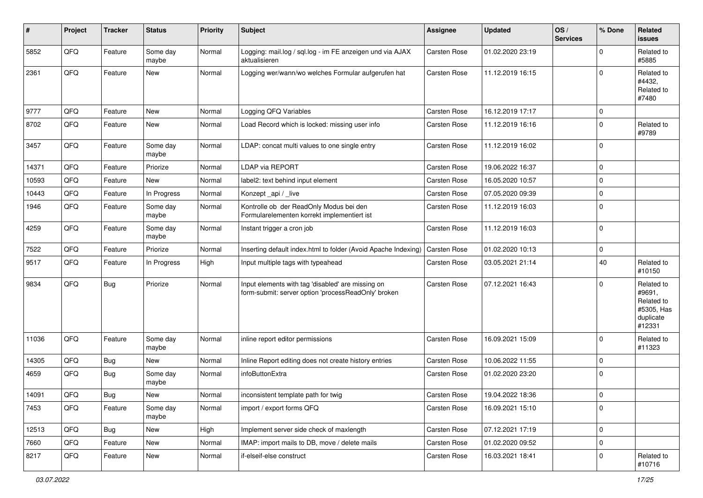| #     | Project | <b>Tracker</b> | <b>Status</b>     | <b>Priority</b> | <b>Subject</b>                                                                                           | <b>Assignee</b>     | <b>Updated</b>   | OS/<br><b>Services</b> | % Done         | Related<br><b>issues</b>                                                |
|-------|---------|----------------|-------------------|-----------------|----------------------------------------------------------------------------------------------------------|---------------------|------------------|------------------------|----------------|-------------------------------------------------------------------------|
| 5852  | QFQ     | Feature        | Some day<br>maybe | Normal          | Logging: mail.log / sql.log - im FE anzeigen und via AJAX<br>aktualisieren                               | Carsten Rose        | 01.02.2020 23:19 |                        | $\Omega$       | Related to<br>#5885                                                     |
| 2361  | QFQ     | Feature        | New               | Normal          | Logging wer/wann/wo welches Formular aufgerufen hat                                                      | <b>Carsten Rose</b> | 11.12.2019 16:15 |                        | $\Omega$       | Related to<br>#4432,<br>Related to<br>#7480                             |
| 9777  | QFQ     | Feature        | New               | Normal          | Logging QFQ Variables                                                                                    | Carsten Rose        | 16.12.2019 17:17 |                        | $\mathbf 0$    |                                                                         |
| 8702  | QFQ     | Feature        | <b>New</b>        | Normal          | Load Record which is locked: missing user info                                                           | <b>Carsten Rose</b> | 11.12.2019 16:16 |                        | 0              | Related to<br>#9789                                                     |
| 3457  | QFQ     | Feature        | Some day<br>maybe | Normal          | LDAP: concat multi values to one single entry                                                            | <b>Carsten Rose</b> | 11.12.2019 16:02 |                        | $\overline{0}$ |                                                                         |
| 14371 | QFQ     | Feature        | Priorize          | Normal          | LDAP via REPORT                                                                                          | <b>Carsten Rose</b> | 19.06.2022 16:37 |                        | $\overline{0}$ |                                                                         |
| 10593 | QFQ     | Feature        | New               | Normal          | label2: text behind input element                                                                        | <b>Carsten Rose</b> | 16.05.2020 10:57 |                        | $\Omega$       |                                                                         |
| 10443 | QFQ     | Feature        | In Progress       | Normal          | Konzept_api / _live                                                                                      | <b>Carsten Rose</b> | 07.05.2020 09:39 |                        | $\mathbf 0$    |                                                                         |
| 1946  | QFQ     | Feature        | Some day<br>maybe | Normal          | Kontrolle ob der ReadOnly Modus bei den<br>Formularelementen korrekt implementiert ist                   | <b>Carsten Rose</b> | 11.12.2019 16:03 |                        | $\Omega$       |                                                                         |
| 4259  | QFQ     | Feature        | Some day<br>maybe | Normal          | Instant trigger a cron job                                                                               | Carsten Rose        | 11.12.2019 16:03 |                        | $\overline{0}$ |                                                                         |
| 7522  | QFQ     | Feature        | Priorize          | Normal          | Inserting default index.html to folder (Avoid Apache Indexing)                                           | <b>Carsten Rose</b> | 01.02.2020 10:13 |                        | $\mathbf 0$    |                                                                         |
| 9517  | QFQ     | Feature        | In Progress       | High            | Input multiple tags with typeahead                                                                       | <b>Carsten Rose</b> | 03.05.2021 21:14 |                        | 40             | Related to<br>#10150                                                    |
| 9834  | QFQ     | Bug            | Priorize          | Normal          | Input elements with tag 'disabled' are missing on<br>form-submit: server option 'processReadOnly' broken | <b>Carsten Rose</b> | 07.12.2021 16:43 |                        | $\Omega$       | Related to<br>#9691,<br>Related to<br>#5305, Has<br>duplicate<br>#12331 |
| 11036 | QFQ     | Feature        | Some day<br>maybe | Normal          | inline report editor permissions                                                                         | <b>Carsten Rose</b> | 16.09.2021 15:09 |                        | $\overline{0}$ | Related to<br>#11323                                                    |
| 14305 | QFQ     | <b>Bug</b>     | New               | Normal          | Inline Report editing does not create history entries                                                    | <b>Carsten Rose</b> | 10.06.2022 11:55 |                        | $\mathbf 0$    |                                                                         |
| 4659  | QFQ     | Bug            | Some day<br>maybe | Normal          | infoButtonExtra                                                                                          | Carsten Rose        | 01.02.2020 23:20 |                        | $\overline{0}$ |                                                                         |
| 14091 | QFQ     | Bug            | <b>New</b>        | Normal          | inconsistent template path for twig                                                                      | <b>Carsten Rose</b> | 19.04.2022 18:36 |                        | $\overline{0}$ |                                                                         |
| 7453  | QFQ     | Feature        | Some day<br>maybe | Normal          | import / export forms QFQ                                                                                | Carsten Rose        | 16.09.2021 15:10 |                        | $\overline{0}$ |                                                                         |
| 12513 | QFQ     | <b>Bug</b>     | New               | High            | Implement server side check of maxlength                                                                 | Carsten Rose        | 07.12.2021 17:19 |                        | $\mathbf 0$    |                                                                         |
| 7660  | QFQ     | Feature        | New               | Normal          | IMAP: import mails to DB, move / delete mails                                                            | Carsten Rose        | 01.02.2020 09:52 |                        | $\mathbf 0$    |                                                                         |
| 8217  | QFQ     | Feature        | New               | Normal          | if-elseif-else construct                                                                                 | Carsten Rose        | 16.03.2021 18:41 |                        | $\mathbf 0$    | Related to<br>#10716                                                    |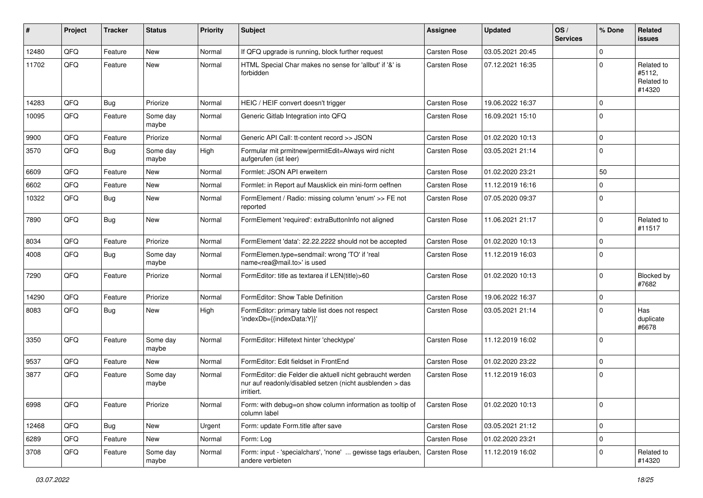| #     | Project | <b>Tracker</b> | <b>Status</b>     | <b>Priority</b> | <b>Subject</b>                                                                                                                      | <b>Assignee</b>     | <b>Updated</b>   | OS/<br><b>Services</b> | % Done         | Related<br>issues                            |
|-------|---------|----------------|-------------------|-----------------|-------------------------------------------------------------------------------------------------------------------------------------|---------------------|------------------|------------------------|----------------|----------------------------------------------|
| 12480 | QFQ     | Feature        | <b>New</b>        | Normal          | If QFQ upgrade is running, block further request                                                                                    | Carsten Rose        | 03.05.2021 20:45 |                        | 0              |                                              |
| 11702 | QFQ     | Feature        | <b>New</b>        | Normal          | HTML Special Char makes no sense for 'allbut' if '&' is<br>forbidden                                                                | Carsten Rose        | 07.12.2021 16:35 |                        | $\mathbf 0$    | Related to<br>#5112,<br>Related to<br>#14320 |
| 14283 | QFQ     | <b>Bug</b>     | Priorize          | Normal          | HEIC / HEIF convert doesn't trigger                                                                                                 | <b>Carsten Rose</b> | 19.06.2022 16:37 |                        | $\mathbf 0$    |                                              |
| 10095 | QFQ     | Feature        | Some day<br>maybe | Normal          | Generic Gitlab Integration into QFQ                                                                                                 | <b>Carsten Rose</b> | 16.09.2021 15:10 |                        | $\mathbf 0$    |                                              |
| 9900  | QFQ     | Feature        | Priorize          | Normal          | Generic API Call: tt-content record >> JSON                                                                                         | Carsten Rose        | 01.02.2020 10:13 |                        | $\mathbf 0$    |                                              |
| 3570  | QFQ     | Bug            | Some day<br>maybe | High            | Formular mit prmitnew permitEdit=Always wird nicht<br>aufgerufen (ist leer)                                                         | <b>Carsten Rose</b> | 03.05.2021 21:14 |                        | $\Omega$       |                                              |
| 6609  | QFQ     | Feature        | <b>New</b>        | Normal          | Formlet: JSON API erweitern                                                                                                         | <b>Carsten Rose</b> | 01.02.2020 23:21 |                        | 50             |                                              |
| 6602  | QFQ     | Feature        | <b>New</b>        | Normal          | Formlet: in Report auf Mausklick ein mini-form oeffnen                                                                              | <b>Carsten Rose</b> | 11.12.2019 16:16 |                        | $\mathbf 0$    |                                              |
| 10322 | QFQ     | <b>Bug</b>     | <b>New</b>        | Normal          | FormElement / Radio: missing column 'enum' >> FE not<br>reported                                                                    | <b>Carsten Rose</b> | 07.05.2020 09:37 |                        | $\Omega$       |                                              |
| 7890  | QFQ     | Bug            | <b>New</b>        | Normal          | FormElement 'required': extraButtonInfo not aligned                                                                                 | <b>Carsten Rose</b> | 11.06.2021 21:17 |                        | $\mathbf 0$    | Related to<br>#11517                         |
| 8034  | QFQ     | Feature        | Priorize          | Normal          | FormElement 'data': 22.22.2222 should not be accepted                                                                               | <b>Carsten Rose</b> | 01.02.2020 10:13 |                        | $\mathbf 0$    |                                              |
| 4008  | QFQ     | Bug            | Some day<br>maybe | Normal          | FormElemen.type=sendmail: wrong 'TO' if 'real<br>name <rea@mail.to>' is used</rea@mail.to>                                          | Carsten Rose        | 11.12.2019 16:03 |                        | $\mathbf 0$    |                                              |
| 7290  | QFQ     | Feature        | Priorize          | Normal          | FormEditor: title as textarea if LEN(title)>60                                                                                      | <b>Carsten Rose</b> | 01.02.2020 10:13 |                        | $\mathbf 0$    | Blocked by<br>#7682                          |
| 14290 | QFQ     | Feature        | Priorize          | Normal          | FormEditor: Show Table Definition                                                                                                   | <b>Carsten Rose</b> | 19.06.2022 16:37 |                        | $\mathbf 0$    |                                              |
| 8083  | QFQ     | <b>Bug</b>     | <b>New</b>        | High            | FormEditor: primary table list does not respect<br>'indexDb={{indexData:Y}}'                                                        | Carsten Rose        | 03.05.2021 21:14 |                        | $\mathbf 0$    | Has<br>duplicate<br>#6678                    |
| 3350  | QFQ     | Feature        | Some day<br>maybe | Normal          | FormEditor: Hilfetext hinter 'checktype'                                                                                            | Carsten Rose        | 11.12.2019 16:02 |                        | $\mathbf 0$    |                                              |
| 9537  | QFQ     | Feature        | New               | Normal          | FormEditor: Edit fieldset in FrontEnd                                                                                               | <b>Carsten Rose</b> | 01.02.2020 23:22 |                        | $\mathbf 0$    |                                              |
| 3877  | QFQ     | Feature        | Some day<br>maybe | Normal          | FormEditor: die Felder die aktuell nicht gebraucht werden<br>nur auf readonly/disabled setzen (nicht ausblenden > das<br>irritiert. | Carsten Rose        | 11.12.2019 16:03 |                        | $\mathbf 0$    |                                              |
| 6998  | QFQ     | Feature        | Priorize          | Normal          | Form: with debug=on show column information as tooltip of<br>column label                                                           | <b>Carsten Rose</b> | 01.02.2020 10:13 |                        | $\overline{0}$ |                                              |
| 12468 | QFQ     | <b>Bug</b>     | New               | Urgent          | Form: update Form.title after save                                                                                                  | Carsten Rose        | 03.05.2021 21:12 |                        | $\mathbf 0$    |                                              |
| 6289  | QFQ     | Feature        | New               | Normal          | Form: Log                                                                                                                           | Carsten Rose        | 01.02.2020 23:21 |                        | $\overline{0}$ |                                              |
| 3708  | QFQ     | Feature        | Some day<br>maybe | Normal          | Form: input - 'specialchars', 'none'  gewisse tags erlauben,<br>andere verbieten                                                    | <b>Carsten Rose</b> | 11.12.2019 16:02 |                        | $\overline{0}$ | Related to<br>#14320                         |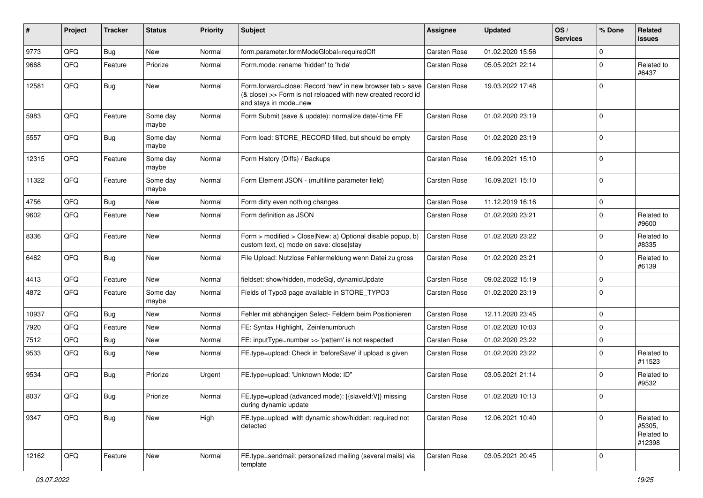| ∦     | Project | <b>Tracker</b> | <b>Status</b>     | <b>Priority</b> | <b>Subject</b>                                                                                                                                                   | <b>Assignee</b>     | <b>Updated</b>   | OS/<br><b>Services</b> | % Done      | Related<br>issues                            |
|-------|---------|----------------|-------------------|-----------------|------------------------------------------------------------------------------------------------------------------------------------------------------------------|---------------------|------------------|------------------------|-------------|----------------------------------------------|
| 9773  | QFQ     | <b>Bug</b>     | New               | Normal          | form.parameter.formModeGlobal=requiredOff                                                                                                                        | <b>Carsten Rose</b> | 01.02.2020 15:56 |                        | 0           |                                              |
| 9668  | QFQ     | Feature        | Priorize          | Normal          | Form.mode: rename 'hidden' to 'hide'                                                                                                                             | <b>Carsten Rose</b> | 05.05.2021 22:14 |                        | 0           | Related to<br>#6437                          |
| 12581 | QFQ     | <b>Bug</b>     | New               | Normal          | Form forward=close: Record 'new' in new browser tab > save Carsten Rose<br>(& close) >> Form is not reloaded with new created record id<br>and stays in mode=new |                     | 19.03.2022 17:48 |                        | 0           |                                              |
| 5983  | QFQ     | Feature        | Some dav<br>maybe | Normal          | Form Submit (save & update): normalize date/-time FE                                                                                                             | <b>Carsten Rose</b> | 01.02.2020 23:19 |                        | 0           |                                              |
| 5557  | QFQ     | Bug            | Some day<br>maybe | Normal          | Form load: STORE_RECORD filled, but should be empty                                                                                                              | <b>Carsten Rose</b> | 01.02.2020 23:19 |                        | $\mathbf 0$ |                                              |
| 12315 | QFQ     | Feature        | Some day<br>maybe | Normal          | Form History (Diffs) / Backups                                                                                                                                   | <b>Carsten Rose</b> | 16.09.2021 15:10 |                        | $\Omega$    |                                              |
| 11322 | QFQ     | Feature        | Some day<br>maybe | Normal          | Form Element JSON - (multiline parameter field)                                                                                                                  | <b>Carsten Rose</b> | 16.09.2021 15:10 |                        | $\Omega$    |                                              |
| 4756  | QFQ     | Bug            | New               | Normal          | Form dirty even nothing changes                                                                                                                                  | <b>Carsten Rose</b> | 11.12.2019 16:16 |                        | $\mathbf 0$ |                                              |
| 9602  | QFQ     | Feature        | New               | Normal          | Form definition as JSON                                                                                                                                          | <b>Carsten Rose</b> | 01.02.2020 23:21 |                        | 0           | Related to<br>#9600                          |
| 8336  | QFQ     | Feature        | New               | Normal          | Form > modified > Close New: a) Optional disable popup, b)<br>custom text, c) mode on save: close stay                                                           | <b>Carsten Rose</b> | 01.02.2020 23:22 |                        | 0           | Related to<br>#8335                          |
| 6462  | QFQ     | Bug            | <b>New</b>        | Normal          | File Upload: Nutzlose Fehlermeldung wenn Datei zu gross                                                                                                          | <b>Carsten Rose</b> | 01.02.2020 23:21 |                        | $\Omega$    | Related to<br>#6139                          |
| 4413  | QFQ     | Feature        | New               | Normal          | fieldset: show/hidden, modeSql, dynamicUpdate                                                                                                                    | <b>Carsten Rose</b> | 09.02.2022 15:19 |                        | $\mathbf 0$ |                                              |
| 4872  | QFQ     | Feature        | Some day<br>maybe | Normal          | Fields of Typo3 page available in STORE_TYPO3                                                                                                                    | <b>Carsten Rose</b> | 01.02.2020 23:19 |                        | 0           |                                              |
| 10937 | QFQ     | Bug            | New               | Normal          | Fehler mit abhängigen Select- Feldern beim Positionieren                                                                                                         | <b>Carsten Rose</b> | 12.11.2020 23:45 |                        | 0           |                                              |
| 7920  | QFQ     | Feature        | New               | Normal          | FE: Syntax Highlight, Zeinlenumbruch                                                                                                                             | <b>Carsten Rose</b> | 01.02.2020 10:03 |                        | 0           |                                              |
| 7512  | QFQ     | Bug            | New               | Normal          | FE: inputType=number >> 'pattern' is not respected                                                                                                               | Carsten Rose        | 01.02.2020 23:22 |                        | 0           |                                              |
| 9533  | QFQ     | Bug            | New               | Normal          | FE.type=upload: Check in 'beforeSave' if upload is given                                                                                                         | <b>Carsten Rose</b> | 01.02.2020 23:22 |                        | $\Omega$    | Related to<br>#11523                         |
| 9534  | QFQ     | Bug            | Priorize          | Urgent          | FE.type=upload: 'Unknown Mode: ID"                                                                                                                               | <b>Carsten Rose</b> | 03.05.2021 21:14 |                        | $\Omega$    | Related to<br>#9532                          |
| 8037  | QFQ     | <b>Bug</b>     | Priorize          | Normal          | FE.type=upload (advanced mode): {{slaveld:V}} missing<br>during dynamic update                                                                                   | <b>Carsten Rose</b> | 01.02.2020 10:13 |                        | $\Omega$    |                                              |
| 9347  | QFQ     | Bug            | New               | High            | FE.type=upload with dynamic show/hidden: required not<br>detected                                                                                                | Carsten Rose        | 12.06.2021 10:40 |                        | 0           | Related to<br>#5305,<br>Related to<br>#12398 |
| 12162 | QFQ     | Feature        | New               | Normal          | FE.type=sendmail: personalized mailing (several mails) via<br>template                                                                                           | Carsten Rose        | 03.05.2021 20:45 |                        | $\mathbf 0$ |                                              |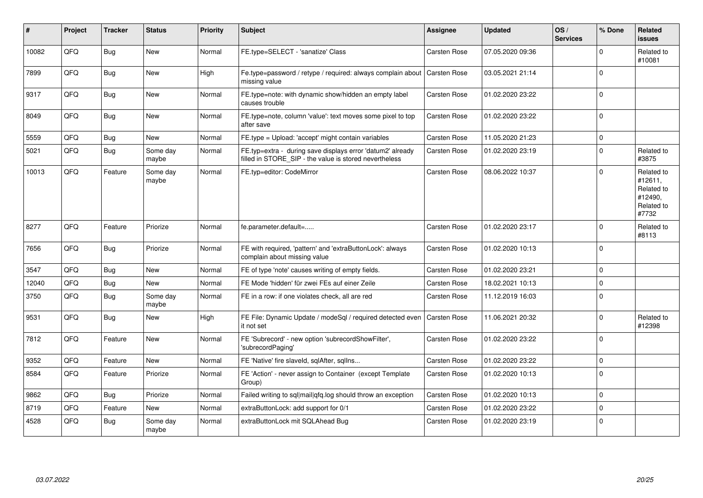| ∦     | Project | <b>Tracker</b> | <b>Status</b>     | <b>Priority</b> | Subject                                                                                                              | Assignee            | <b>Updated</b>   | OS/<br><b>Services</b> | % Done         | Related<br>issues                                                     |
|-------|---------|----------------|-------------------|-----------------|----------------------------------------------------------------------------------------------------------------------|---------------------|------------------|------------------------|----------------|-----------------------------------------------------------------------|
| 10082 | QFQ     | Bug            | <b>New</b>        | Normal          | FE.type=SELECT - 'sanatize' Class                                                                                    | <b>Carsten Rose</b> | 07.05.2020 09:36 |                        | $\Omega$       | Related to<br>#10081                                                  |
| 7899  | QFQ     | Bug            | New               | High            | Fe.type=password / retype / required: always complain about   Carsten Rose<br>missing value                          |                     | 03.05.2021 21:14 |                        | $\Omega$       |                                                                       |
| 9317  | QFQ     | Bug            | New               | Normal          | FE.type=note: with dynamic show/hidden an empty label<br>causes trouble                                              | <b>Carsten Rose</b> | 01.02.2020 23:22 |                        | $\mathbf 0$    |                                                                       |
| 8049  | QFQ     | Bug            | New               | Normal          | FE.type=note, column 'value': text moves some pixel to top<br>after save                                             | <b>Carsten Rose</b> | 01.02.2020 23:22 |                        | $\Omega$       |                                                                       |
| 5559  | QFQ     | Bug            | New               | Normal          | FE.type = Upload: 'accept' might contain variables                                                                   | <b>Carsten Rose</b> | 11.05.2020 21:23 |                        | $\Omega$       |                                                                       |
| 5021  | QFQ     | Bug            | Some day<br>maybe | Normal          | FE.typ=extra - during save displays error 'datum2' already<br>filled in STORE SIP - the value is stored nevertheless | Carsten Rose        | 01.02.2020 23:19 |                        | $\Omega$       | Related to<br>#3875                                                   |
| 10013 | QFQ     | Feature        | Some day<br>maybe | Normal          | FE.typ=editor: CodeMirror                                                                                            | Carsten Rose        | 08.06.2022 10:37 |                        | $\Omega$       | Related to<br>#12611,<br>Related to<br>#12490.<br>Related to<br>#7732 |
| 8277  | QFQ     | Feature        | Priorize          | Normal          | fe.parameter.default=                                                                                                | <b>Carsten Rose</b> | 01.02.2020 23:17 |                        | $\Omega$       | Related to<br>#8113                                                   |
| 7656  | QFQ     | Bug            | Priorize          | Normal          | FE with required, 'pattern' and 'extraButtonLock': always<br>complain about missing value                            | <b>Carsten Rose</b> | 01.02.2020 10:13 |                        | $\Omega$       |                                                                       |
| 3547  | QFQ     | Bug            | <b>New</b>        | Normal          | FE of type 'note' causes writing of empty fields.                                                                    | <b>Carsten Rose</b> | 01.02.2020 23:21 |                        | $\Omega$       |                                                                       |
| 12040 | QFQ     | Bug            | New               | Normal          | FE Mode 'hidden' für zwei FEs auf einer Zeile                                                                        | <b>Carsten Rose</b> | 18.02.2021 10:13 |                        | $\mathbf 0$    |                                                                       |
| 3750  | QFQ     | Bug            | Some day<br>maybe | Normal          | FE in a row: if one violates check, all are red                                                                      | <b>Carsten Rose</b> | 11.12.2019 16:03 |                        | $\Omega$       |                                                                       |
| 9531  | QFQ     | Bug            | <b>New</b>        | High            | FE File: Dynamic Update / modeSql / required detected even<br>it not set                                             | <b>Carsten Rose</b> | 11.06.2021 20:32 |                        | $\Omega$       | Related to<br>#12398                                                  |
| 7812  | QFQ     | Feature        | New               | Normal          | FE 'Subrecord' - new option 'subrecordShowFilter',<br>'subrecordPaging'                                              | <b>Carsten Rose</b> | 01.02.2020 23:22 |                        | $\Omega$       |                                                                       |
| 9352  | QFQ     | Feature        | <b>New</b>        | Normal          | FE 'Native' fire slaveld, sqlAfter, sqlIns                                                                           | Carsten Rose        | 01.02.2020 23:22 |                        | $\Omega$       |                                                                       |
| 8584  | QFQ     | Feature        | Priorize          | Normal          | FE 'Action' - never assign to Container (except Template<br>Group)                                                   | <b>Carsten Rose</b> | 01.02.2020 10:13 |                        | $\Omega$       |                                                                       |
| 9862  | QFQ     | Bug            | Priorize          | Normal          | Failed writing to sql mail qfq.log should throw an exception                                                         | <b>Carsten Rose</b> | 01.02.2020 10:13 |                        | $\Omega$       |                                                                       |
| 8719  | QFQ     | Feature        | New               | Normal          | extraButtonLock: add support for 0/1                                                                                 | <b>Carsten Rose</b> | 01.02.2020 23:22 |                        | $\Omega$       |                                                                       |
| 4528  | QFQ     | Bug            | Some day<br>maybe | Normal          | extraButtonLock mit SQLAhead Bug                                                                                     | <b>Carsten Rose</b> | 01.02.2020 23:19 |                        | $\overline{0}$ |                                                                       |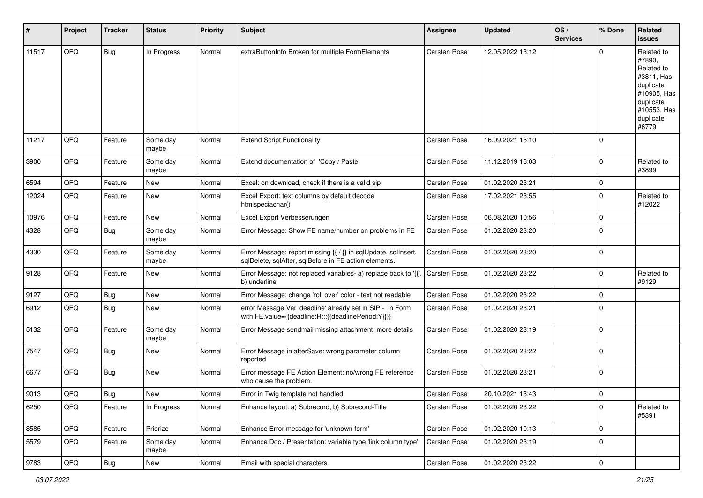| #     | Project        | <b>Tracker</b> | <b>Status</b>     | <b>Priority</b> | <b>Subject</b>                                                                                                          | <b>Assignee</b>     | <b>Updated</b>   | OS/<br><b>Services</b> | % Done       | Related<br>issues                                                                                                              |
|-------|----------------|----------------|-------------------|-----------------|-------------------------------------------------------------------------------------------------------------------------|---------------------|------------------|------------------------|--------------|--------------------------------------------------------------------------------------------------------------------------------|
| 11517 | QFQ            | <b>Bug</b>     | In Progress       | Normal          | extraButtonInfo Broken for multiple FormElements                                                                        | <b>Carsten Rose</b> | 12.05.2022 13:12 |                        | <sup>0</sup> | Related to<br>#7890,<br>Related to<br>#3811, Has<br>duplicate<br>#10905, Has<br>duplicate<br>#10553, Has<br>duplicate<br>#6779 |
| 11217 | QFQ            | Feature        | Some day<br>maybe | Normal          | <b>Extend Script Functionality</b>                                                                                      | <b>Carsten Rose</b> | 16.09.2021 15:10 |                        | $\Omega$     |                                                                                                                                |
| 3900  | QFQ            | Feature        | Some day<br>maybe | Normal          | Extend documentation of 'Copy / Paste'                                                                                  | Carsten Rose        | 11.12.2019 16:03 |                        | $\Omega$     | Related to<br>#3899                                                                                                            |
| 6594  | QFQ            | Feature        | New               | Normal          | Excel: on download, check if there is a valid sip                                                                       | <b>Carsten Rose</b> | 01.02.2020 23:21 |                        | $\mathbf 0$  |                                                                                                                                |
| 12024 | QFQ            | Feature        | New               | Normal          | Excel Export: text columns by default decode<br>htmlspeciachar()                                                        | <b>Carsten Rose</b> | 17.02.2021 23:55 |                        | 0            | Related to<br>#12022                                                                                                           |
| 10976 | QFQ            | Feature        | <b>New</b>        | Normal          | Excel Export Verbesserungen                                                                                             | <b>Carsten Rose</b> | 06.08.2020 10:56 |                        | $\mathbf 0$  |                                                                                                                                |
| 4328  | QFQ            | Bug            | Some day<br>maybe | Normal          | Error Message: Show FE name/number on problems in FE                                                                    | Carsten Rose        | 01.02.2020 23:20 |                        | $\Omega$     |                                                                                                                                |
| 4330  | QFQ            | Feature        | Some day<br>maybe | Normal          | Error Message: report missing {{ / }} in sqlUpdate, sqlInsert,<br>sqlDelete, sqlAfter, sqlBefore in FE action elements. | <b>Carsten Rose</b> | 01.02.2020 23:20 |                        | $\mathbf 0$  |                                                                                                                                |
| 9128  | QFQ            | Feature        | New               | Normal          | Error Message: not replaced variables- a) replace back to '{{'<br>b) underline                                          | Carsten Rose        | 01.02.2020 23:22 |                        | $\Omega$     | Related to<br>#9129                                                                                                            |
| 9127  | QFQ            | <b>Bug</b>     | New               | Normal          | Error Message: change 'roll over' color - text not readable                                                             | <b>Carsten Rose</b> | 01.02.2020 23:22 |                        | 0            |                                                                                                                                |
| 6912  | QFQ            | <b>Bug</b>     | New               | Normal          | error Message Var 'deadline' already set in SIP - in Form<br>with FE.value={{deadline:R:::{{deadlinePeriod:Y}}}}        | <b>Carsten Rose</b> | 01.02.2020 23:21 |                        | $\Omega$     |                                                                                                                                |
| 5132  | QFQ            | Feature        | Some day<br>maybe | Normal          | Error Message sendmail missing attachment: more details                                                                 | <b>Carsten Rose</b> | 01.02.2020 23:19 |                        | $\Omega$     |                                                                                                                                |
| 7547  | QFQ            | Bug            | New               | Normal          | Error Message in afterSave: wrong parameter column<br>reported                                                          | <b>Carsten Rose</b> | 01.02.2020 23:22 |                        | $\mathbf 0$  |                                                                                                                                |
| 6677  | QFQ            | Bug            | New               | Normal          | Error message FE Action Element: no/wrong FE reference<br>who cause the problem.                                        | <b>Carsten Rose</b> | 01.02.2020 23:21 |                        | 0            |                                                                                                                                |
| 9013  | QFQ            | Bug            | New               | Normal          | Error in Twig template not handled                                                                                      | <b>Carsten Rose</b> | 20.10.2021 13:43 |                        | $\mathbf 0$  |                                                                                                                                |
| 6250  | QFQ            | Feature        | In Progress       | Normal          | Enhance layout: a) Subrecord, b) Subrecord-Title                                                                        | Carsten Rose        | 01.02.2020 23:22 |                        | 0            | Related to<br>#5391                                                                                                            |
| 8585  | QFQ            | Feature        | Priorize          | Normal          | Enhance Error message for 'unknown form'                                                                                | Carsten Rose        | 01.02.2020 10:13 |                        | $\mathbf 0$  |                                                                                                                                |
| 5579  | QFQ            | Feature        | Some day<br>maybe | Normal          | Enhance Doc / Presentation: variable type 'link column type'                                                            | Carsten Rose        | 01.02.2020 23:19 |                        | 0            |                                                                                                                                |
| 9783  | $\mathsf{QFQ}$ | <b>Bug</b>     | New               | Normal          | Email with special characters                                                                                           | Carsten Rose        | 01.02.2020 23:22 |                        | 0            |                                                                                                                                |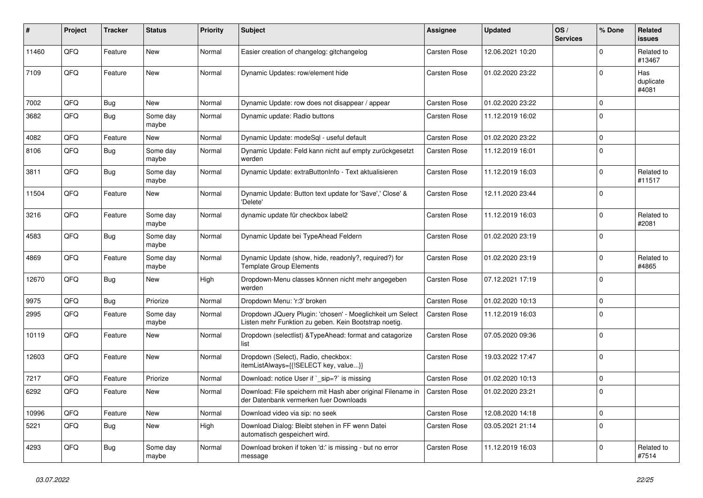| #     | Project | <b>Tracker</b> | <b>Status</b>     | <b>Priority</b> | <b>Subject</b>                                                                                                     | <b>Assignee</b>     | <b>Updated</b>   | OS/<br><b>Services</b> | % Done       | Related<br>issues         |
|-------|---------|----------------|-------------------|-----------------|--------------------------------------------------------------------------------------------------------------------|---------------------|------------------|------------------------|--------------|---------------------------|
| 11460 | QFQ     | Feature        | <b>New</b>        | Normal          | Easier creation of changelog: gitchangelog                                                                         | <b>Carsten Rose</b> | 12.06.2021 10:20 |                        | <sup>0</sup> | Related to<br>#13467      |
| 7109  | QFQ     | Feature        | New               | Normal          | Dynamic Updates: row/element hide                                                                                  | <b>Carsten Rose</b> | 01.02.2020 23:22 |                        | $\Omega$     | Has<br>duplicate<br>#4081 |
| 7002  | QFQ     | <b>Bug</b>     | New               | Normal          | Dynamic Update: row does not disappear / appear                                                                    | <b>Carsten Rose</b> | 01.02.2020 23:22 |                        | 0            |                           |
| 3682  | QFQ     | Bug            | Some day<br>maybe | Normal          | Dynamic update: Radio buttons                                                                                      | <b>Carsten Rose</b> | 11.12.2019 16:02 |                        | 0            |                           |
| 4082  | QFQ     | Feature        | New               | Normal          | Dynamic Update: modeSql - useful default                                                                           | <b>Carsten Rose</b> | 01.02.2020 23:22 |                        | $\mathbf 0$  |                           |
| 8106  | QFQ     | <b>Bug</b>     | Some day<br>maybe | Normal          | Dynamic Update: Feld kann nicht auf empty zurückgesetzt<br>werden                                                  | Carsten Rose        | 11.12.2019 16:01 |                        | $\Omega$     |                           |
| 3811  | QFQ     | Bug            | Some day<br>maybe | Normal          | Dynamic Update: extraButtonInfo - Text aktualisieren                                                               | <b>Carsten Rose</b> | 11.12.2019 16:03 |                        | 0            | Related to<br>#11517      |
| 11504 | QFQ     | Feature        | New               | Normal          | Dynamic Update: Button text update for 'Save',' Close' &<br>'Delete'                                               | <b>Carsten Rose</b> | 12.11.2020 23:44 |                        | 0            |                           |
| 3216  | QFQ     | Feature        | Some dav<br>maybe | Normal          | dynamic update für checkbox label2                                                                                 | <b>Carsten Rose</b> | 11.12.2019 16:03 |                        | 0            | Related to<br>#2081       |
| 4583  | QFQ     | Bug            | Some day<br>maybe | Normal          | Dynamic Update bei TypeAhead Feldern                                                                               | <b>Carsten Rose</b> | 01.02.2020 23:19 |                        | 0            |                           |
| 4869  | QFQ     | Feature        | Some day<br>maybe | Normal          | Dynamic Update (show, hide, readonly?, required?) for<br><b>Template Group Elements</b>                            | <b>Carsten Rose</b> | 01.02.2020 23:19 |                        | $\Omega$     | Related to<br>#4865       |
| 12670 | QFQ     | Bug            | New               | High            | Dropdown-Menu classes können nicht mehr angegeben<br>werden                                                        | <b>Carsten Rose</b> | 07.12.2021 17:19 |                        | $\Omega$     |                           |
| 9975  | QFQ     | Bug            | Priorize          | Normal          | Dropdown Menu: 'r:3' broken                                                                                        | <b>Carsten Rose</b> | 01.02.2020 10:13 |                        | 0            |                           |
| 2995  | QFQ     | Feature        | Some day<br>maybe | Normal          | Dropdown JQuery Plugin: 'chosen' - Moeglichkeit um Select<br>Listen mehr Funktion zu geben. Kein Bootstrap noetig. | <b>Carsten Rose</b> | 11.12.2019 16:03 |                        | 0            |                           |
| 10119 | QFQ     | Feature        | New               | Normal          | Dropdown (selectlist) & Type Ahead: format and catagorize<br>list                                                  | <b>Carsten Rose</b> | 07.05.2020 09:36 |                        | 0            |                           |
| 12603 | QFQ     | Feature        | New               | Normal          | Dropdown (Select), Radio, checkbox:<br>itemListAlways={{!SELECT key, value}}                                       | <b>Carsten Rose</b> | 19.03.2022 17:47 |                        | $\Omega$     |                           |
| 7217  | QFQ     | Feature        | Priorize          | Normal          | Download: notice User if `_sip=?` is missing                                                                       | <b>Carsten Rose</b> | 01.02.2020 10:13 |                        | $\mathbf 0$  |                           |
| 6292  | QFQ     | Feature        | New               | Normal          | Download: File speichern mit Hash aber original Filename in<br>der Datenbank vermerken fuer Downloads              | <b>Carsten Rose</b> | 01.02.2020 23:21 |                        | $\Omega$     |                           |
| 10996 | QFQ     | Feature        | New               | Normal          | Download video via sip: no seek                                                                                    | Carsten Rose        | 12.08.2020 14:18 |                        | $\mathbf 0$  |                           |
| 5221  | QFQ     | <b>Bug</b>     | New               | High            | Download Dialog: Bleibt stehen in FF wenn Datei<br>automatisch gespeichert wird.                                   | Carsten Rose        | 03.05.2021 21:14 |                        | $\mathbf 0$  |                           |
| 4293  | QFQ     | Bug            | Some day<br>maybe | Normal          | Download broken if token 'd:' is missing - but no error<br>message                                                 | Carsten Rose        | 11.12.2019 16:03 |                        | $\mathbf 0$  | Related to<br>#7514       |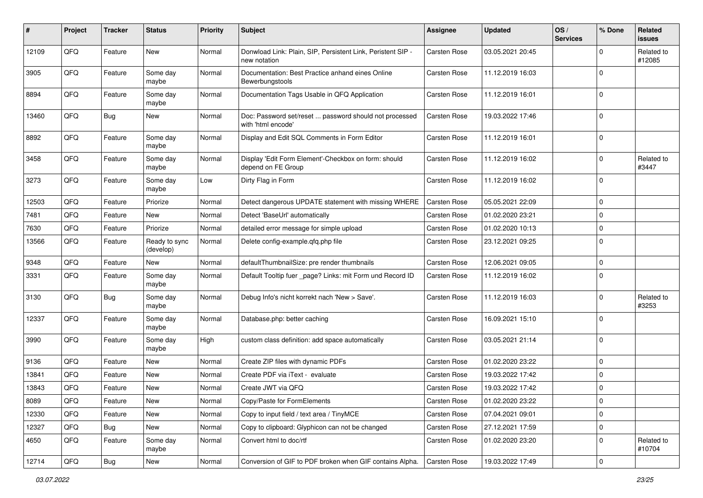| #     | Project | <b>Tracker</b> | <b>Status</b>              | <b>Priority</b> | <b>Subject</b>                                                               | <b>Assignee</b>     | <b>Updated</b>   | OS/<br><b>Services</b> | % Done       | Related<br>issues    |
|-------|---------|----------------|----------------------------|-----------------|------------------------------------------------------------------------------|---------------------|------------------|------------------------|--------------|----------------------|
| 12109 | QFQ     | Feature        | New                        | Normal          | Donwload Link: Plain, SIP, Persistent Link, Peristent SIP -<br>new notation  | <b>Carsten Rose</b> | 03.05.2021 20:45 |                        | $\Omega$     | Related to<br>#12085 |
| 3905  | QFQ     | Feature        | Some day<br>maybe          | Normal          | Documentation: Best Practice anhand eines Online<br>Bewerbungstools          | <b>Carsten Rose</b> | 11.12.2019 16:03 |                        | $\mathbf 0$  |                      |
| 8894  | QFQ     | Feature        | Some day<br>maybe          | Normal          | Documentation Tags Usable in QFQ Application                                 | <b>Carsten Rose</b> | 11.12.2019 16:01 |                        | 0            |                      |
| 13460 | QFQ     | Bug            | New                        | Normal          | Doc: Password set/reset  password should not processed<br>with 'html encode' | <b>Carsten Rose</b> | 19.03.2022 17:46 |                        | $\mathbf 0$  |                      |
| 8892  | QFQ     | Feature        | Some day<br>maybe          | Normal          | Display and Edit SQL Comments in Form Editor                                 | <b>Carsten Rose</b> | 11.12.2019 16:01 |                        | $\mathbf 0$  |                      |
| 3458  | QFQ     | Feature        | Some day<br>maybe          | Normal          | Display 'Edit Form Element'-Checkbox on form: should<br>depend on FE Group   | Carsten Rose        | 11.12.2019 16:02 |                        | $\mathbf 0$  | Related to<br>#3447  |
| 3273  | QFQ     | Feature        | Some day<br>maybe          | Low             | Dirty Flag in Form                                                           | <b>Carsten Rose</b> | 11.12.2019 16:02 |                        | $\Omega$     |                      |
| 12503 | QFQ     | Feature        | Priorize                   | Normal          | Detect dangerous UPDATE statement with missing WHERE                         | <b>Carsten Rose</b> | 05.05.2021 22:09 |                        | $\mathbf 0$  |                      |
| 7481  | QFQ     | Feature        | New                        | Normal          | Detect 'BaseUrl' automatically                                               | <b>Carsten Rose</b> | 01.02.2020 23:21 |                        | $\mathbf 0$  |                      |
| 7630  | QFQ     | Feature        | Priorize                   | Normal          | detailed error message for simple upload                                     | <b>Carsten Rose</b> | 01.02.2020 10:13 |                        | $\mathbf 0$  |                      |
| 13566 | QFQ     | Feature        | Ready to sync<br>(develop) | Normal          | Delete config-example.qfq.php file                                           | Carsten Rose        | 23.12.2021 09:25 |                        | 0            |                      |
| 9348  | QFQ     | Feature        | New                        | Normal          | defaultThumbnailSize: pre render thumbnails                                  | <b>Carsten Rose</b> | 12.06.2021 09:05 |                        | $\mathbf 0$  |                      |
| 3331  | QFQ     | Feature        | Some day<br>maybe          | Normal          | Default Tooltip fuer _page? Links: mit Form und Record ID                    | <b>Carsten Rose</b> | 11.12.2019 16:02 |                        | $\Omega$     |                      |
| 3130  | QFQ     | <b>Bug</b>     | Some day<br>maybe          | Normal          | Debug Info's nicht korrekt nach 'New > Save'.                                | Carsten Rose        | 11.12.2019 16:03 |                        | $\Omega$     | Related to<br>#3253  |
| 12337 | QFQ     | Feature        | Some day<br>maybe          | Normal          | Database.php: better caching                                                 | <b>Carsten Rose</b> | 16.09.2021 15:10 |                        | $\Omega$     |                      |
| 3990  | QFQ     | Feature        | Some day<br>maybe          | High            | custom class definition: add space automatically                             | Carsten Rose        | 03.05.2021 21:14 |                        | $\mathbf{0}$ |                      |
| 9136  | QFQ     | Feature        | New                        | Normal          | Create ZIP files with dynamic PDFs                                           | <b>Carsten Rose</b> | 01.02.2020 23:22 |                        | $\mathbf{0}$ |                      |
| 13841 | QFQ     | Feature        | New                        | Normal          | Create PDF via iText - evaluate                                              | <b>Carsten Rose</b> | 19.03.2022 17:42 |                        | $\mathbf 0$  |                      |
| 13843 | QFQ     | Feature        | <b>New</b>                 | Normal          | Create JWT via QFQ                                                           | Carsten Rose        | 19.03.2022 17:42 |                        | $\mathbf 0$  |                      |
| 8089  | QFQ     | Feature        | New                        | Normal          | Copy/Paste for FormElements                                                  | Carsten Rose        | 01.02.2020 23:22 |                        | 0            |                      |
| 12330 | QFQ     | Feature        | New                        | Normal          | Copy to input field / text area / TinyMCE                                    | Carsten Rose        | 07.04.2021 09:01 |                        | 0            |                      |
| 12327 | QFQ     | <b>Bug</b>     | New                        | Normal          | Copy to clipboard: Glyphicon can not be changed                              | Carsten Rose        | 27.12.2021 17:59 |                        | 0            |                      |
| 4650  | QFQ     | Feature        | Some day<br>maybe          | Normal          | Convert html to doc/rtf                                                      | Carsten Rose        | 01.02.2020 23:20 |                        | 0            | Related to<br>#10704 |
| 12714 | QFG     | <b>Bug</b>     | New                        | Normal          | Conversion of GIF to PDF broken when GIF contains Alpha.                     | <b>Carsten Rose</b> | 19.03.2022 17:49 |                        | 0            |                      |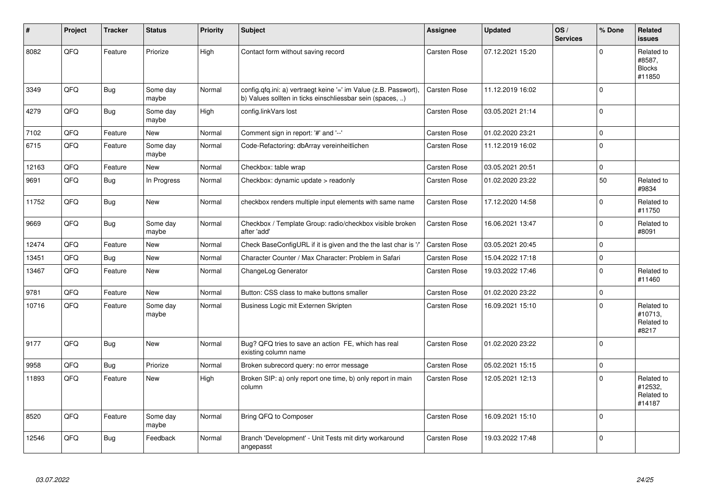| $\#$  | Project | <b>Tracker</b> | <b>Status</b>     | <b>Priority</b> | Subject                                                                                                                       | Assignee            | <b>Updated</b>   | OS/<br><b>Services</b> | % Done      | Related<br><b>issues</b>                        |
|-------|---------|----------------|-------------------|-----------------|-------------------------------------------------------------------------------------------------------------------------------|---------------------|------------------|------------------------|-------------|-------------------------------------------------|
| 8082  | QFQ     | Feature        | Priorize          | High            | Contact form without saving record                                                                                            | <b>Carsten Rose</b> | 07.12.2021 15:20 |                        | $\Omega$    | Related to<br>#8587.<br><b>Blocks</b><br>#11850 |
| 3349  | QFQ     | Bug            | Some day<br>maybe | Normal          | config.qfq.ini: a) vertraegt keine '=' im Value (z.B. Passwort),<br>b) Values sollten in ticks einschliessbar sein (spaces, ) | <b>Carsten Rose</b> | 11.12.2019 16:02 |                        | $\mathbf 0$ |                                                 |
| 4279  | QFQ     | <b>Bug</b>     | Some day<br>maybe | High            | config.linkVars lost                                                                                                          | <b>Carsten Rose</b> | 03.05.2021 21:14 |                        | $\Omega$    |                                                 |
| 7102  | QFQ     | Feature        | New               | Normal          | Comment sign in report: '#' and '--'                                                                                          | Carsten Rose        | 01.02.2020 23:21 |                        | $\Omega$    |                                                 |
| 6715  | QFQ     | Feature        | Some day<br>maybe | Normal          | Code-Refactoring: dbArray vereinheitlichen                                                                                    | <b>Carsten Rose</b> | 11.12.2019 16:02 |                        | $\mathbf 0$ |                                                 |
| 12163 | QFQ     | Feature        | New               | Normal          | Checkbox: table wrap                                                                                                          | <b>Carsten Rose</b> | 03.05.2021 20:51 |                        | $\Omega$    |                                                 |
| 9691  | QFQ     | Bug            | In Progress       | Normal          | Checkbox: dynamic update $>$ readonly                                                                                         | <b>Carsten Rose</b> | 01.02.2020 23:22 |                        | 50          | Related to<br>#9834                             |
| 11752 | QFQ     | Bug            | New               | Normal          | checkbox renders multiple input elements with same name                                                                       | <b>Carsten Rose</b> | 17.12.2020 14:58 |                        | $\Omega$    | Related to<br>#11750                            |
| 9669  | QFQ     | <b>Bug</b>     | Some day<br>maybe | Normal          | Checkbox / Template Group: radio/checkbox visible broken<br>after 'add'                                                       | Carsten Rose        | 16.06.2021 13:47 |                        | $\Omega$    | Related to<br>#8091                             |
| 12474 | QFQ     | Feature        | New               | Normal          | Check BaseConfigURL if it is given and the the last char is '/'                                                               | <b>Carsten Rose</b> | 03.05.2021 20:45 |                        | $\Omega$    |                                                 |
| 13451 | QFQ     | Bug            | New               | Normal          | Character Counter / Max Character: Problem in Safari                                                                          | <b>Carsten Rose</b> | 15.04.2022 17:18 |                        | $\Omega$    |                                                 |
| 13467 | QFQ     | Feature        | New               | Normal          | ChangeLog Generator                                                                                                           | <b>Carsten Rose</b> | 19.03.2022 17:46 |                        | $\Omega$    | Related to<br>#11460                            |
| 9781  | QFQ     | Feature        | New               | Normal          | Button: CSS class to make buttons smaller                                                                                     | <b>Carsten Rose</b> | 01.02.2020 23:22 |                        | $\mathbf 0$ |                                                 |
| 10716 | QFQ     | Feature        | Some day<br>maybe | Normal          | Business Logic mit Externen Skripten                                                                                          | <b>Carsten Rose</b> | 16.09.2021 15:10 |                        | $\Omega$    | Related to<br>#10713,<br>Related to<br>#8217    |
| 9177  | QFQ     | Bug            | New               | Normal          | Bug? QFQ tries to save an action FE, which has real<br>existing column name                                                   | Carsten Rose        | 01.02.2020 23:22 |                        | $\mathbf 0$ |                                                 |
| 9958  | QFQ     | Bug            | Priorize          | Normal          | Broken subrecord query: no error message                                                                                      | <b>Carsten Rose</b> | 05.02.2021 15:15 |                        | $\mathbf 0$ |                                                 |
| 11893 | QFQ     | Feature        | New               | High            | Broken SIP: a) only report one time, b) only report in main<br>column                                                         | <b>Carsten Rose</b> | 12.05.2021 12:13 |                        | $\mathbf 0$ | Related to<br>#12532,<br>Related to<br>#14187   |
| 8520  | QFQ     | Feature        | Some day<br>maybe | Normal          | Bring QFQ to Composer                                                                                                         | <b>Carsten Rose</b> | 16.09.2021 15:10 |                        | $\Omega$    |                                                 |
| 12546 | QFQ     | Bug            | Feedback          | Normal          | Branch 'Development' - Unit Tests mit dirty workaround<br>angepasst                                                           | <b>Carsten Rose</b> | 19.03.2022 17:48 |                        | $\Omega$    |                                                 |